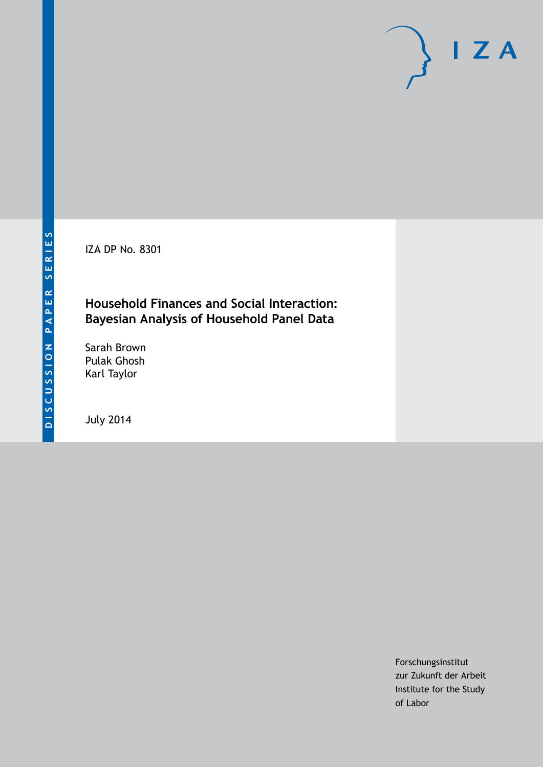IZA DP No. 8301

### **Household Finances and Social Interaction: Bayesian Analysis of Household Panel Data**

Sarah Brown Pulak Ghosh Karl Taylor

July 2014

Forschungsinstitut zur Zukunft der Arbeit Institute for the Study of Labor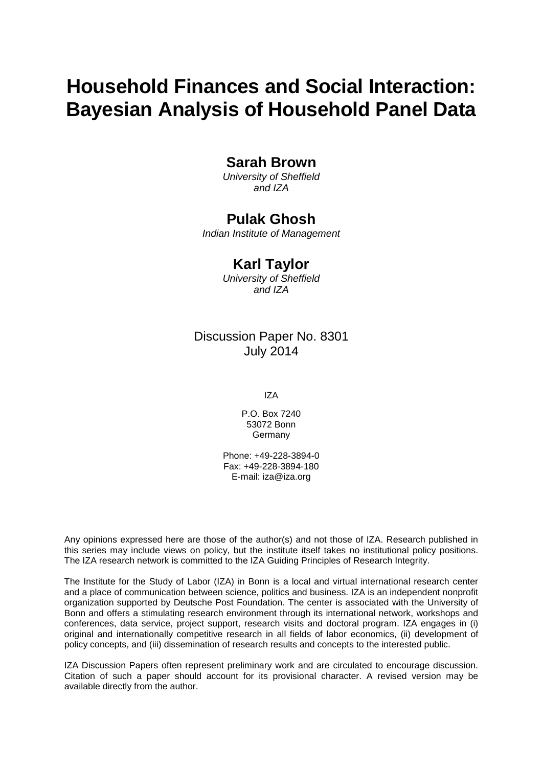# **Household Finances and Social Interaction: Bayesian Analysis of Household Panel Data**

### **Sarah Brown**

*University of Sheffield and IZA*

### **Pulak Ghosh**

*Indian Institute of Management*

### **Karl Taylor**

*University of Sheffield and IZA*

### Discussion Paper No. 8301 July 2014

IZA

P.O. Box 7240 53072 Bonn Germany

Phone: +49-228-3894-0 Fax: +49-228-3894-180 E-mail: [iza@iza.org](mailto:iza@iza.org)

Any opinions expressed here are those of the author(s) and not those of IZA. Research published in this series may include views on policy, but the institute itself takes no institutional policy positions. The IZA research network is committed to the IZA Guiding Principles of Research Integrity.

The Institute for the Study of Labor (IZA) in Bonn is a local and virtual international research center and a place of communication between science, politics and business. IZA is an independent nonprofit organization supported by Deutsche Post Foundation. The center is associated with the University of Bonn and offers a stimulating research environment through its international network, workshops and conferences, data service, project support, research visits and doctoral program. IZA engages in (i) original and internationally competitive research in all fields of labor economics, (ii) development of policy concepts, and (iii) dissemination of research results and concepts to the interested public.

<span id="page-1-0"></span>IZA Discussion Papers often represent preliminary work and are circulated to encourage discussion. Citation of such a paper should account for its provisional character. A revised version may be available directly from the author.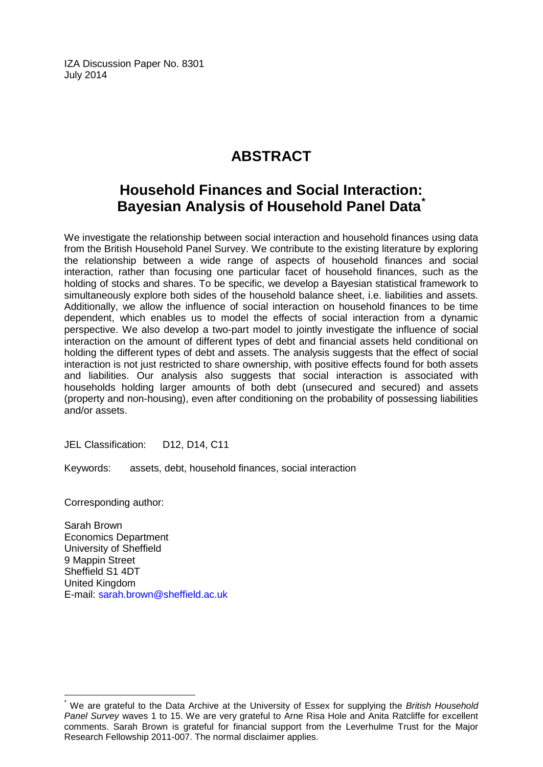IZA Discussion Paper No. 8301 July 2014

# **ABSTRACT**

## **Household Finances and Social Interaction: Bayesian Analysis of Household Panel Data[\\*](#page-1-0)**

We investigate the relationship between social interaction and household finances using data from the British Household Panel Survey. We contribute to the existing literature by exploring the relationship between a wide range of aspects of household finances and social interaction, rather than focusing one particular facet of household finances, such as the holding of stocks and shares. To be specific, we develop a Bayesian statistical framework to simultaneously explore both sides of the household balance sheet, i.e. liabilities and assets. Additionally, we allow the influence of social interaction on household finances to be time dependent, which enables us to model the effects of social interaction from a dynamic perspective. We also develop a two-part model to jointly investigate the influence of social interaction on the amount of different types of debt and financial assets held conditional on holding the different types of debt and assets. The analysis suggests that the effect of social interaction is not just restricted to share ownership, with positive effects found for both assets and liabilities. Our analysis also suggests that social interaction is associated with households holding larger amounts of both debt (unsecured and secured) and assets (property and non-housing), even after conditioning on the probability of possessing liabilities and/or assets.

JEL Classification: D12, D14, C11

Keywords: assets, debt, household finances, social interaction

Corresponding author:

Sarah Brown Economics Department University of Sheffield 9 Mappin Street Sheffield S1 4DT United Kingdom E-mail: [sarah.brown@sheffield.ac.uk](mailto:sarah.brown@sheffield.ac.uk)

\* We are grateful to the Data Archive at the University of Essex for supplying the *British Household Panel Survey* waves 1 to 15. We are very grateful to Arne Risa Hole and Anita Ratcliffe for excellent comments. Sarah Brown is grateful for financial support from the Leverhulme Trust for the Major Research Fellowship 2011-007. The normal disclaimer applies.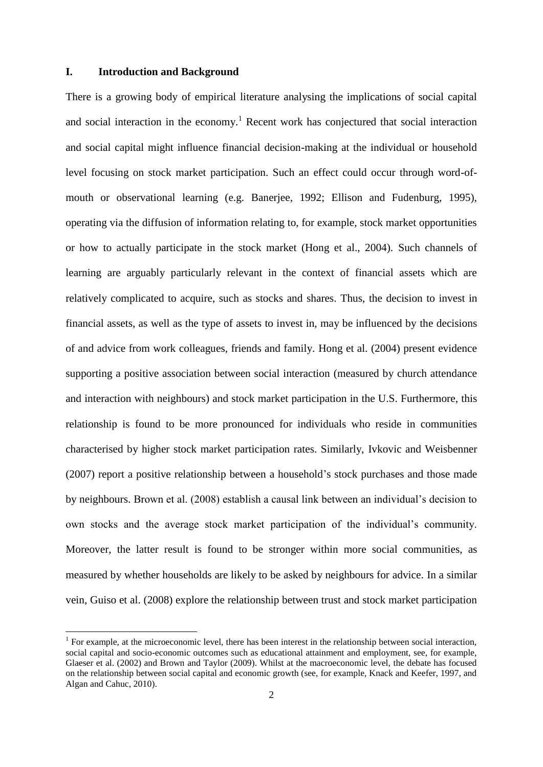#### **I. Introduction and Background**

1

There is a growing body of empirical literature analysing the implications of social capital and social interaction in the economy.<sup>1</sup> Recent work has conjectured that social interaction and social capital might influence financial decision-making at the individual or household level focusing on stock market participation. Such an effect could occur through word-ofmouth or observational learning (e.g. Banerjee, 1992; Ellison and Fudenburg, 1995), operating via the diffusion of information relating to, for example, stock market opportunities or how to actually participate in the stock market (Hong et al., 2004). Such channels of learning are arguably particularly relevant in the context of financial assets which are relatively complicated to acquire, such as stocks and shares. Thus, the decision to invest in financial assets, as well as the type of assets to invest in, may be influenced by the decisions of and advice from work colleagues, friends and family. Hong et al. (2004) present evidence supporting a positive association between social interaction (measured by church attendance and interaction with neighbours) and stock market participation in the U.S. Furthermore, this relationship is found to be more pronounced for individuals who reside in communities characterised by higher stock market participation rates. Similarly, Ivkovic and Weisbenner (2007) report a positive relationship between a household's stock purchases and those made by neighbours. Brown et al. (2008) establish a causal link between an individual's decision to own stocks and the average stock market participation of the individual's community. Moreover, the latter result is found to be stronger within more social communities, as measured by whether households are likely to be asked by neighbours for advice. In a similar vein, Guiso et al. (2008) explore the relationship between trust and stock market participation

<sup>1</sup> For example, at the microeconomic level, there has been interest in the relationship between social interaction, social capital and socio-economic outcomes such as educational attainment and employment, see, for example, Glaeser et al. (2002) and Brown and Taylor (2009). Whilst at the macroeconomic level, the debate has focused on the relationship between social capital and economic growth (see, for example, Knack and Keefer, 1997, and Algan and Cahuc, 2010).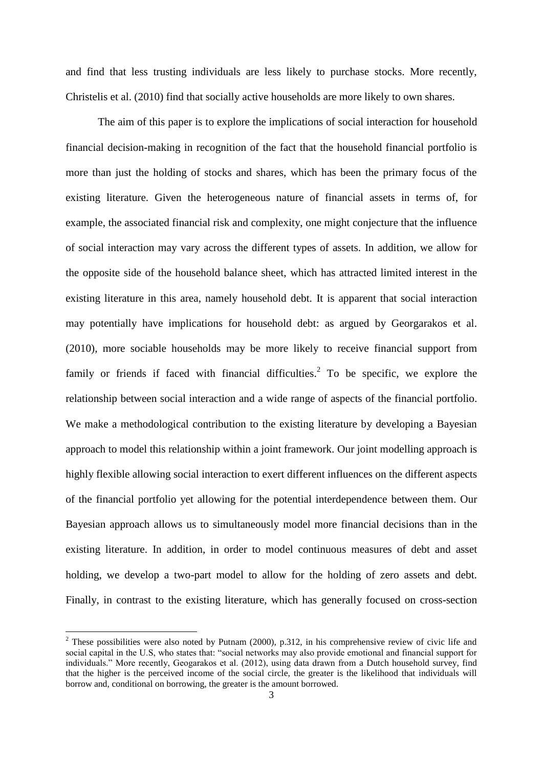and find that less trusting individuals are less likely to purchase stocks. More recently, Christelis et al. (2010) find that socially active households are more likely to own shares.

The aim of this paper is to explore the implications of social interaction for household financial decision-making in recognition of the fact that the household financial portfolio is more than just the holding of stocks and shares, which has been the primary focus of the existing literature. Given the heterogeneous nature of financial assets in terms of, for example, the associated financial risk and complexity, one might conjecture that the influence of social interaction may vary across the different types of assets. In addition, we allow for the opposite side of the household balance sheet, which has attracted limited interest in the existing literature in this area, namely household debt. It is apparent that social interaction may potentially have implications for household debt: as argued by Georgarakos et al. (2010), more sociable households may be more likely to receive financial support from family or friends if faced with financial difficulties.<sup>2</sup> To be specific, we explore the relationship between social interaction and a wide range of aspects of the financial portfolio. We make a methodological contribution to the existing literature by developing a Bayesian approach to model this relationship within a joint framework. Our joint modelling approach is highly flexible allowing social interaction to exert different influences on the different aspects of the financial portfolio yet allowing for the potential interdependence between them. Our Bayesian approach allows us to simultaneously model more financial decisions than in the existing literature. In addition, in order to model continuous measures of debt and asset holding, we develop a two-part model to allow for the holding of zero assets and debt. Finally, in contrast to the existing literature, which has generally focused on cross-section

1

<sup>&</sup>lt;sup>2</sup> These possibilities were also noted by Putnam (2000), p.312, in his comprehensive review of civic life and social capital in the U.S, who states that: "social networks may also provide emotional and financial support for individuals." More recently, Geogarakos et al. (2012), using data drawn from a Dutch household survey, find that the higher is the perceived income of the social circle, the greater is the likelihood that individuals will borrow and, conditional on borrowing, the greater is the amount borrowed.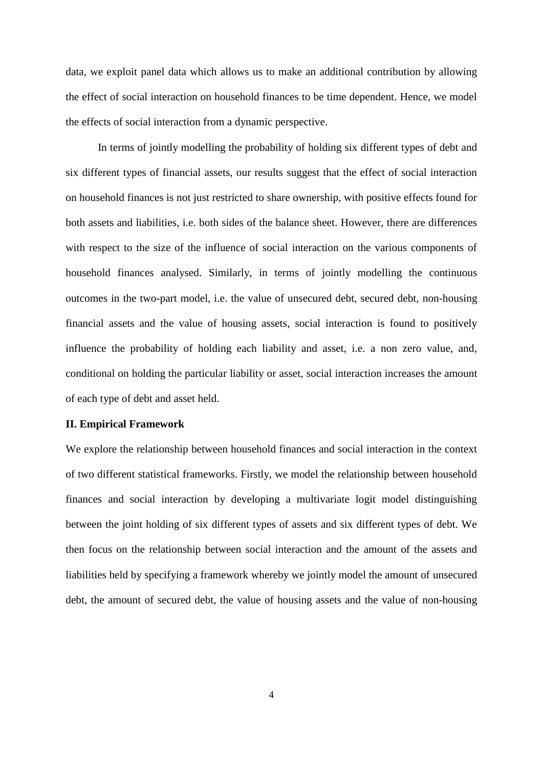data, we exploit panel data which allows us to make an additional contribution by allowing the effect of social interaction on household finances to be time dependent. Hence, we model the effects of social interaction from a dynamic perspective.

In terms of jointly modelling the probability of holding six different types of debt and six different types of financial assets, our results suggest that the effect of social interaction on household finances is not just restricted to share ownership, with positive effects found for both assets and liabilities, i.e. both sides of the balance sheet. However, there are differences with respect to the size of the influence of social interaction on the various components of household finances analysed. Similarly, in terms of jointly modelling the continuous outcomes in the two-part model, i.e. the value of unsecured debt, secured debt, non-housing financial assets and the value of housing assets, social interaction is found to positively influence the probability of holding each liability and asset, i.e. a non zero value, and, conditional on holding the particular liability or asset, social interaction increases the amount of each type of debt and asset held.

#### **II. Empirical Framework**

We explore the relationship between household finances and social interaction in the context of two different statistical frameworks. Firstly, we model the relationship between household finances and social interaction by developing a multivariate logit model distinguishing between the joint holding of six different types of assets and six different types of debt. We then focus on the relationship between social interaction and the amount of the assets and liabilities held by specifying a framework whereby we jointly model the amount of unsecured debt, the amount of secured debt, the value of housing assets and the value of non-housing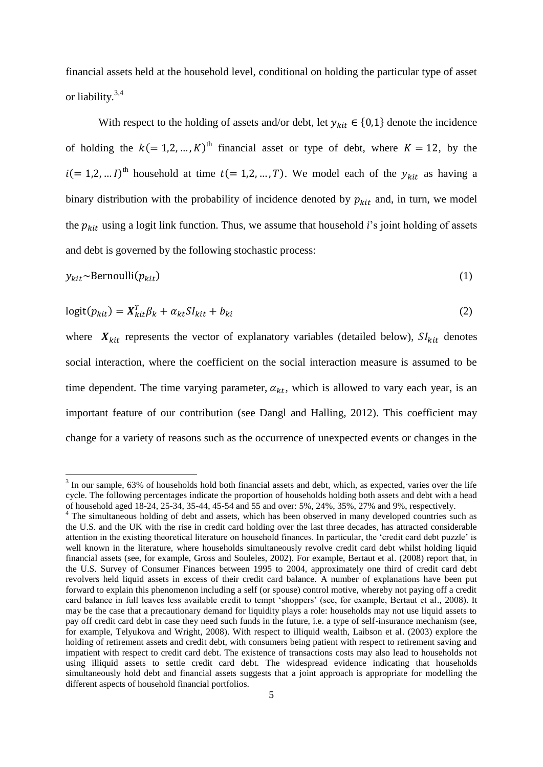financial assets held at the household level, conditional on holding the particular type of asset or liability.<sup>3,4</sup>

With respect to the holding of assets and/or debt, let  $y_{kit} \in \{0,1\}$  denote the incidence of holding the  $k (= 1, 2, ..., K)$ <sup>th</sup> financial asset or type of debt, where  $K = 12$ , by the  $i (= 1, 2, ... I)^{th}$  household at time  $t (= 1, 2, ..., T)$ . We model each of the  $y_{kit}$  as having a binary distribution with the probability of incidence denoted by  $p_{kit}$  and, in turn, we model the  $p_{kit}$  using a logit link function. Thus, we assume that household *i*'s joint holding of assets and debt is governed by the following stochastic process:

$$
y_{kit} \sim \text{Bernoulli}(p_{kit}) \tag{1}
$$

$$
logit(p_{kit}) = X_{kit}^T \beta_k + \alpha_{kt} S I_{kit} + b_{ki}
$$
\n(2)

where  $X_{kit}$  represents the vector of explanatory variables (detailed below),  $SI_{kit}$  denotes social interaction, where the coefficient on the social interaction measure is assumed to be time dependent. The time varying parameter,  $\alpha_{kt}$ , which is allowed to vary each year, is an important feature of our contribution (see Dangl and Halling, 2012). This coefficient may change for a variety of reasons such as the occurrence of unexpected events or changes in the

<sup>&</sup>lt;sup>3</sup> In our sample, 63% of households hold both financial assets and debt, which, as expected, varies over the life cycle. The following percentages indicate the proportion of households holding both assets and debt with a head of household aged 18-24, 25-34, 35-44, 45-54 and 55 and over: 5%, 24%, 35%, 27% and 9%, respectively.

<sup>&</sup>lt;sup>4</sup> The simultaneous holding of debt and assets, which has been observed in many developed countries such as the U.S. and the UK with the rise in credit card holding over the last three decades, has attracted considerable attention in the existing theoretical literature on household finances. In particular, the 'credit card debt puzzle' is well known in the literature, where households simultaneously revolve credit card debt whilst holding liquid financial assets (see, for example, Gross and Souleles, 2002). For example, Bertaut et al. (2008) report that, in the U.S. Survey of Consumer Finances between 1995 to 2004, approximately one third of credit card debt revolvers held liquid assets in excess of their credit card balance. A number of explanations have been put forward to explain this phenomenon including a self (or spouse) control motive, whereby not paying off a credit card balance in full leaves less available credit to tempt 'shoppers' (see, for example, Bertaut et al., 2008). It may be the case that a precautionary demand for liquidity plays a role: households may not use liquid assets to pay off credit card debt in case they need such funds in the future, i.e. a type of self-insurance mechanism (see, for example, Telyukova and Wright, 2008). With respect to illiquid wealth, Laibson et al. (2003) explore the holding of retirement assets and credit debt, with consumers being patient with respect to retirement saving and impatient with respect to credit card debt. The existence of transactions costs may also lead to households not using illiquid assets to settle credit card debt. The widespread evidence indicating that households simultaneously hold debt and financial assets suggests that a joint approach is appropriate for modelling the different aspects of household financial portfolios.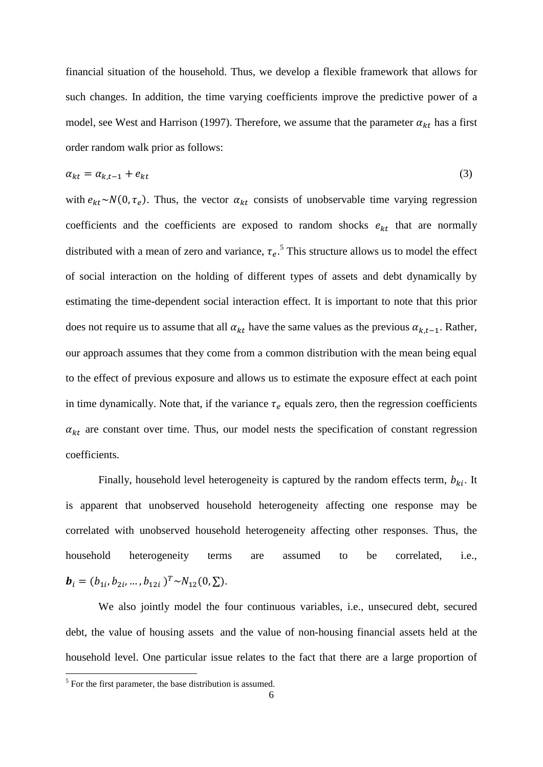financial situation of the household. Thus, we develop a flexible framework that allows for such changes. In addition, the time varying coefficients improve the predictive power of a model, see West and Harrison (1997). Therefore, we assume that the parameter  $\alpha_{kt}$  has a first order random walk prior as follows:

$$
\alpha_{kt} = \alpha_{k,t-1} + e_{kt} \tag{3}
$$

with  $e_{kt} \sim N(0, \tau_e)$ . Thus, the vector  $\alpha_{kt}$  consists of unobservable time varying regression coefficients and the coefficients are exposed to random shocks  $e_{kt}$  that are normally distributed with a mean of zero and variance,  $\tau_e$ .<sup>5</sup> This structure allows us to model the effect of social interaction on the holding of different types of assets and debt dynamically by estimating the time-dependent social interaction effect. It is important to note that this prior does not require us to assume that all  $\alpha_{kt}$  have the same values as the previous  $\alpha_{k,t-1}$ . Rather, our approach assumes that they come from a common distribution with the mean being equal to the effect of previous exposure and allows us to estimate the exposure effect at each point in time dynamically. Note that, if the variance  $\tau_e$  equals zero, then the regression coefficients  $\alpha_{kt}$  are constant over time. Thus, our model nests the specification of constant regression coefficients.

Finally, household level heterogeneity is captured by the random effects term,  $b_{ki}$ . It is apparent that unobserved household heterogeneity affecting one response may be correlated with unobserved household heterogeneity affecting other responses. Thus, the household heterogeneity terms are assumed to be correlated, i.e.,  $\mathbf{b}_i = (b_{1i}, b_{2i}, ..., b_{12i})^T \sim N_{12}(0, \Sigma).$ 

We also jointly model the four continuous variables, i.e., unsecured debt, secured debt, the value of housing assets and the value of non-housing financial assets held at the household level. One particular issue relates to the fact that there are a large proportion of

<sup>&</sup>lt;sup>5</sup> For the first parameter, the base distribution is assumed.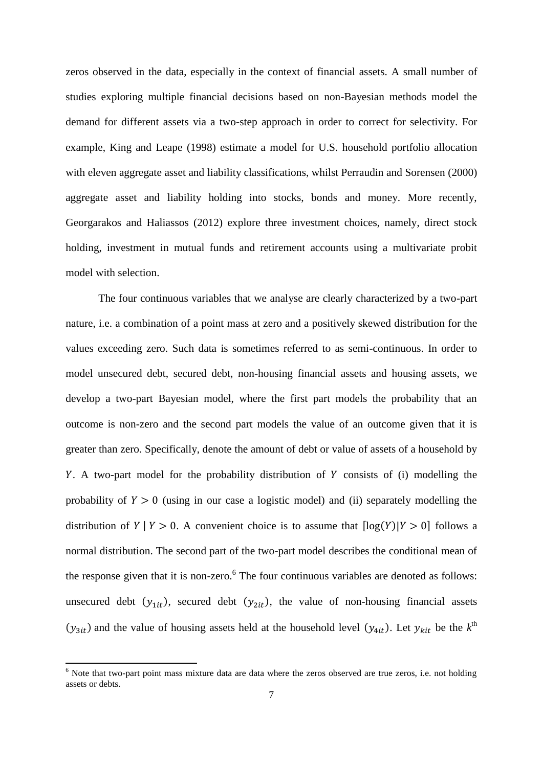zeros observed in the data, especially in the context of financial assets. A small number of studies exploring multiple financial decisions based on non-Bayesian methods model the demand for different assets via a two-step approach in order to correct for selectivity. For example, King and Leape (1998) estimate a model for U.S. household portfolio allocation with eleven aggregate asset and liability classifications, whilst Perraudin and Sorensen (2000) aggregate asset and liability holding into stocks, bonds and money. More recently, Georgarakos and Haliassos (2012) explore three investment choices, namely, direct stock holding, investment in mutual funds and retirement accounts using a multivariate probit model with selection.

The four continuous variables that we analyse are clearly characterized by a two-part nature, i.e. a combination of a point mass at zero and a positively skewed distribution for the values exceeding zero. Such data is sometimes referred to as semi-continuous. In order to model unsecured debt, secured debt, non-housing financial assets and housing assets, we develop a two-part Bayesian model, where the first part models the probability that an outcome is non-zero and the second part models the value of an outcome given that it is greater than zero. Specifically, denote the amount of debt or value of assets of a household by Y. A two-part model for the probability distribution of Y consists of (i) modelling the probability of  $Y > 0$  (using in our case a logistic model) and (ii) separately modelling the distribution of  $Y | Y > 0$ . A convenient choice is to assume that  $\lceil \log(Y)|Y > 0 \rceil$  follows a normal distribution. The second part of the two-part model describes the conditional mean of the response given that it is non-zero. $6$  The four continuous variables are denoted as follows: unsecured debt  $(y_{1it})$ , secured debt  $(y_{2it})$ , the value of non-housing financial assets  $(y_{3it})$  and the value of housing assets held at the household level  $(y_{4it})$ . Let  $y_{kit}$  be the  $k^{\text{th}}$ 

**.** 

 $<sup>6</sup>$  Note that two-part point mass mixture data are data where the zeros observed are true zeros, i.e. not holding</sup> assets or debts.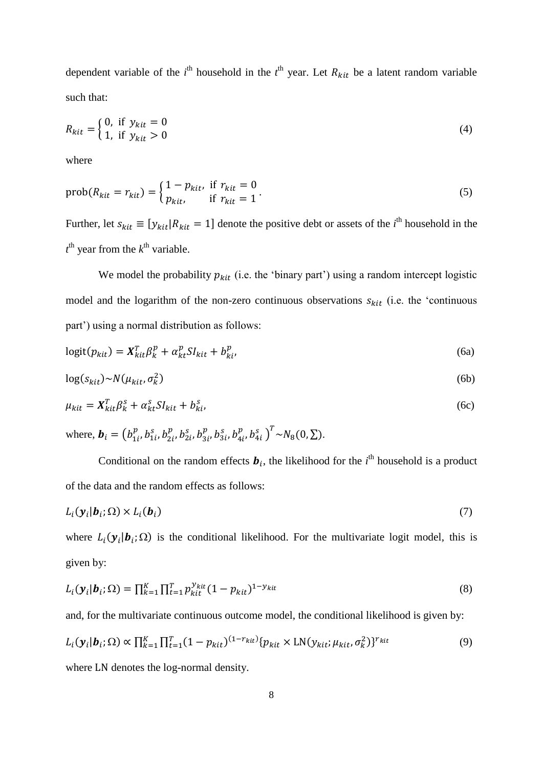dependent variable of the  $i^{\text{th}}$  household in the  $i^{\text{th}}$  year. Let  $R_{kit}$  be a latent random variable such that:

$$
R_{kit} = \begin{cases} 0, & \text{if } y_{kit} = 0 \\ 1, & \text{if } y_{kit} > 0 \end{cases}
$$
 (4)

where

$$
prob(R_{kit} = r_{kit}) = \begin{cases} 1 - p_{kit}, & \text{if } r_{kit} = 0\\ p_{kit}, & \text{if } r_{kit} = 1 \end{cases} \tag{5}
$$

Further, let  $s_{kit} \equiv [y_{kit} | R_{kit} = 1]$  denote the positive debt or assets of the *i*<sup>th</sup> household in the  $t<sup>th</sup>$  year from the  $k<sup>th</sup>$  variable.

We model the probability  $p_{kit}$  (i.e. the 'binary part') using a random intercept logistic model and the logarithm of the non-zero continuous observations  $s_{kit}$  (i.e. the 'continuous part') using a normal distribution as follows:

$$
logit(p_{kit}) = \mathbf{X}_{kit}^T \beta_k^p + \alpha_{kt}^p S I_{kit} + b_{ki}^p,
$$
\n(6a)

$$
\log(s_{kit}) \sim N(\mu_{kit}, \sigma_k^2) \tag{6b}
$$

$$
\mu_{kit} = \mathbf{X}_{kit}^T \beta_k^S + \alpha_{kt}^S S I_{kit} + b_{ki}^S, \tag{6c}
$$

where, 
$$
\mathbf{b}_i = (b_{1i}^p, b_{1i}^s, b_{2i}^p, b_{2i}^s, b_{3i}^p, b_{3i}^s, b_{4i}^p, b_{4i}^s)^T \sim N_8(0, \Sigma)
$$
.

Conditional on the random effects  $\mathbf{b}_i$ , the likelihood for the *i*<sup>th</sup> household is a product of the data and the random effects as follows:

$$
L_i(\mathbf{y}_i|\mathbf{b}_i;\Omega) \times L_i(\mathbf{b}_i)
$$
\n<sup>(7)</sup>

where  $L_i(\mathbf{y}_i|\mathbf{b}_i;\Omega)$  is the conditional likelihood. For the multivariate logit model, this is given by:

$$
L_i(\mathbf{y}_i|\mathbf{b}_i;\Omega) = \prod_{k=1}^K \prod_{t=1}^T p_{kit}^{y_{kit}} (1 - p_{kit})^{1 - y_{kit}} \tag{8}
$$

and, for the multivariate continuous outcome model, the conditional likelihood is given by:

$$
L_i(\mathbf{y}_i|\mathbf{b}_i;\Omega) \propto \prod_{k=1}^K \prod_{t=1}^T (1-p_{kit})^{(1-r_{kit})} \{p_{kit} \times \text{LN}(y_{kit};\mu_{kit},\sigma_k^2)\}^{r_{kit}}
$$
(9)

where LN denotes the log-normal density.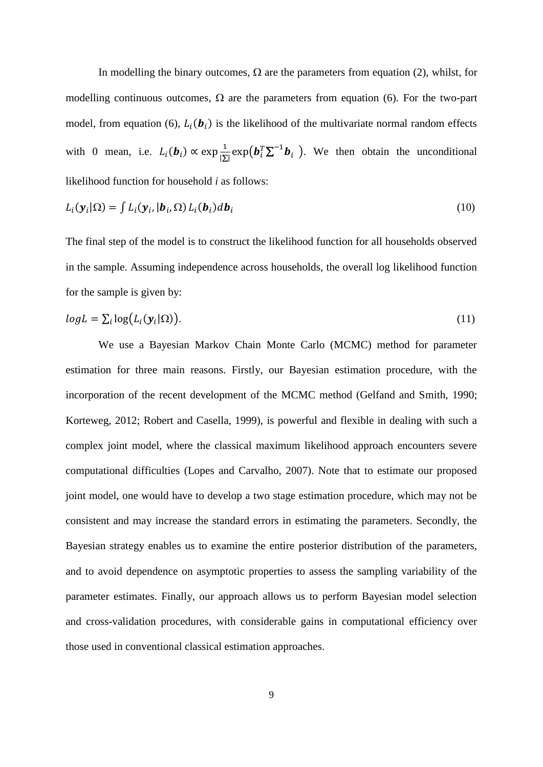In modelling the binary outcomes,  $\Omega$  are the parameters from equation (2), whilst, for modelling continuous outcomes,  $\Omega$  are the parameters from equation (6). For the two-part model, from equation (6),  $L_i(\mathbf{b}_i)$  is the likelihood of the multivariate normal random effects with 0 mean, i.e.  $L_i(\mathbf{b}_i) \propto \exp{\frac{1}{|\mathbf{b}_i|}}$  $\frac{1}{|\Sigma|}$ exp $(\boldsymbol{b}_i^T \Sigma^{-1} \boldsymbol{b}_i)$ . We then obtain the unconditional likelihood function for household *i* as follows:

$$
L_i(\mathbf{y}_i|\Omega) = \int L_i(\mathbf{y}_i, |\mathbf{b}_i, \Omega) L_i(\mathbf{b}_i) d\mathbf{b}_i
$$
\n(10)

The final step of the model is to construct the likelihood function for all households observed in the sample. Assuming independence across households, the overall log likelihood function for the sample is given by:

$$
log L = \sum_{i} log(L_i(\mathbf{y}_i|\Omega)).
$$
\n(11)

We use a Bayesian Markov Chain Monte Carlo (MCMC) method for parameter estimation for three main reasons. Firstly, our Bayesian estimation procedure, with the incorporation of the recent development of the MCMC method (Gelfand and Smith, 1990; Korteweg, 2012; Robert and Casella, 1999), is powerful and flexible in dealing with such a complex joint model, where the classical maximum likelihood approach encounters severe computational difficulties (Lopes and Carvalho, 2007). Note that to estimate our proposed joint model, one would have to develop a two stage estimation procedure, which may not be consistent and may increase the standard errors in estimating the parameters. Secondly, the Bayesian strategy enables us to examine the entire posterior distribution of the parameters, and to avoid dependence on asymptotic properties to assess the sampling variability of the parameter estimates. Finally, our approach allows us to perform Bayesian model selection and cross-validation procedures, with considerable gains in computational efficiency over those used in conventional classical estimation approaches.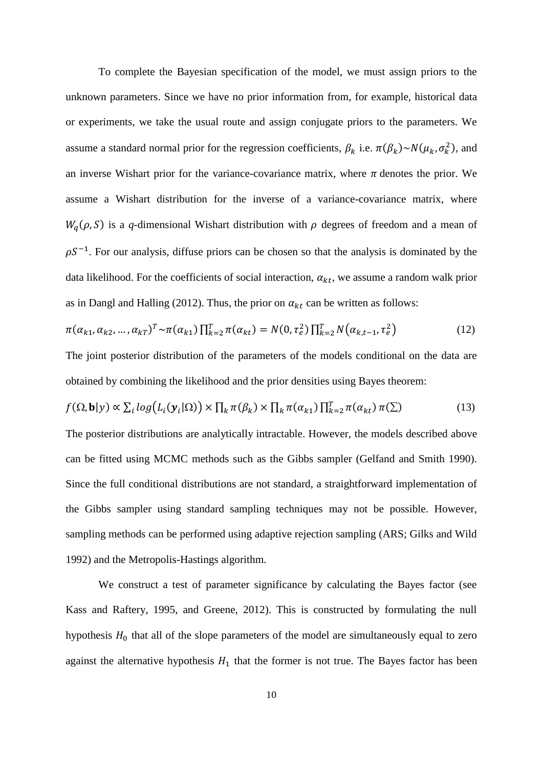To complete the Bayesian specification of the model, we must assign priors to the unknown parameters. Since we have no prior information from, for example, historical data or experiments, we take the usual route and assign conjugate priors to the parameters. We assume a standard normal prior for the regression coefficients,  $\beta_k$  i.e.  $\pi(\beta_k) \sim N(\mu_k, \sigma_k^2)$ , and an inverse Wishart prior for the variance-covariance matrix, where  $\pi$  denotes the prior. We assume a Wishart distribution for the inverse of a variance-covariance matrix, where  $W_q(\rho, S)$  is a q-dimensional Wishart distribution with  $\rho$  degrees of freedom and a mean of  $\rho S^{-1}$ . For our analysis, diffuse priors can be chosen so that the analysis is dominated by the data likelihood. For the coefficients of social interaction,  $\alpha_{kt}$ , we assume a random walk prior as in Dangl and Halling (2012). Thus, the prior on  $\alpha_{kt}$  can be written as follows:

$$
\pi(\alpha_{k1}, \alpha_{k2}, \dots, \alpha_{kT})^T \sim \pi(\alpha_{k1}) \prod_{k=2}^T \pi(\alpha_{kt}) = N(0, \tau_e^2) \prod_{k=2}^T N(\alpha_{k,t-1}, \tau_e^2)
$$
(12)

The joint posterior distribution of the parameters of the models conditional on the data are obtained by combining the likelihood and the prior densities using Bayes theorem:

$$
f(\Omega, \mathbf{b}|y) \propto \sum_{i} log(L_i(\mathbf{y}_i|\Omega)) \times \prod_{k} \pi(\beta_k) \times \prod_{k} \pi(\alpha_{k1}) \prod_{k=2}^{T} \pi(\alpha_{kt}) \pi(\Sigma)
$$
 (13)

The posterior distributions are analytically intractable. However, the models described above can be fitted using MCMC methods such as the Gibbs sampler (Gelfand and Smith 1990). Since the full conditional distributions are not standard, a straightforward implementation of the Gibbs sampler using standard sampling techniques may not be possible. However, sampling methods can be performed using adaptive rejection sampling (ARS; Gilks and Wild 1992) and the Metropolis-Hastings algorithm.

We construct a test of parameter significance by calculating the Bayes factor (see Kass and Raftery, 1995, and Greene, 2012). This is constructed by formulating the null hypothesis  $H_0$  that all of the slope parameters of the model are simultaneously equal to zero against the alternative hypothesis  $H_1$  that the former is not true. The Bayes factor has been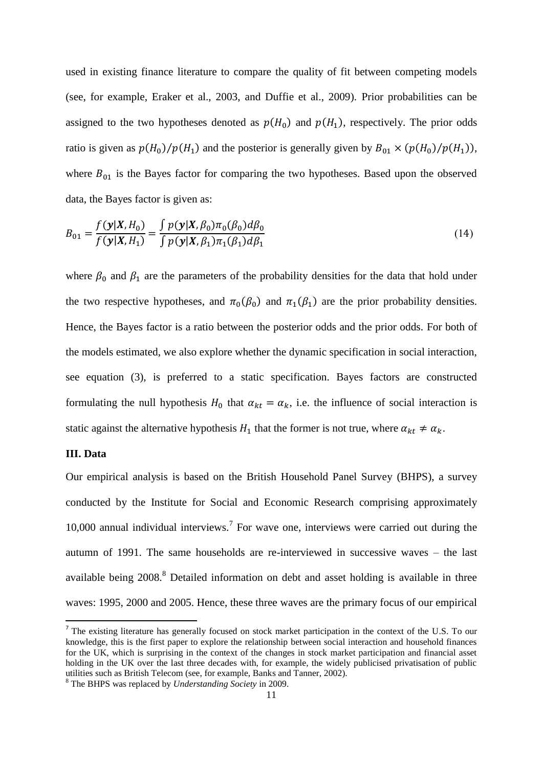used in existing finance literature to compare the quality of fit between competing models (see, for example, Eraker et al., 2003, and Duffie et al., 2009). Prior probabilities can be assigned to the two hypotheses denoted as  $p(H_0)$  and  $p(H_1)$ , respectively. The prior odds ratio is given as  $p(H_0)/p(H_1)$  and the posterior is generally given by  $B_{01} \times (p(H_0)/p(H_1))$ , where  $B_{01}$  is the Bayes factor for comparing the two hypotheses. Based upon the observed data, the Bayes factor is given as:

$$
B_{01} = \frac{f(\mathbf{y}|X, H_0)}{f(\mathbf{y}|X, H_1)} = \frac{\int p(\mathbf{y}|X, \beta_0) \pi_0(\beta_0) d\beta_0}{\int p(\mathbf{y}|X, \beta_1) \pi_1(\beta_1) d\beta_1}
$$
(14)

where  $\beta_0$  and  $\beta_1$  are the parameters of the probability densities for the data that hold under the two respective hypotheses, and  $\pi_0(\beta_0)$  and  $\pi_1(\beta_1)$  are the prior probability densities. Hence, the Bayes factor is a ratio between the posterior odds and the prior odds. For both of the models estimated, we also explore whether the dynamic specification in social interaction, see equation (3), is preferred to a static specification. Bayes factors are constructed formulating the null hypothesis  $H_0$  that  $\alpha_{kt} = \alpha_k$ , i.e. the influence of social interaction is static against the alternative hypothesis  $H_1$  that the former is not true, where  $\alpha_{kt} \neq \alpha_k$ .

#### **III. Data**

 $\overline{a}$ 

Our empirical analysis is based on the British Household Panel Survey (BHPS), a survey conducted by the Institute for Social and Economic Research comprising approximately 10,000 annual individual interviews.<sup>7</sup> For wave one, interviews were carried out during the autumn of 1991. The same households are re-interviewed in successive waves – the last available being 2008.<sup>8</sup> Detailed information on debt and asset holding is available in three waves: 1995, 2000 and 2005. Hence, these three waves are the primary focus of our empirical

<sup>&</sup>lt;sup>7</sup> The existing literature has generally focused on stock market participation in the context of the U.S. To our knowledge, this is the first paper to explore the relationship between social interaction and household finances for the UK, which is surprising in the context of the changes in stock market participation and financial asset holding in the UK over the last three decades with, for example, the widely publicised privatisation of public utilities such as British Telecom (see, for example, Banks and Tanner, 2002).

<sup>8</sup> The BHPS was replaced by *Understanding Society* in 2009.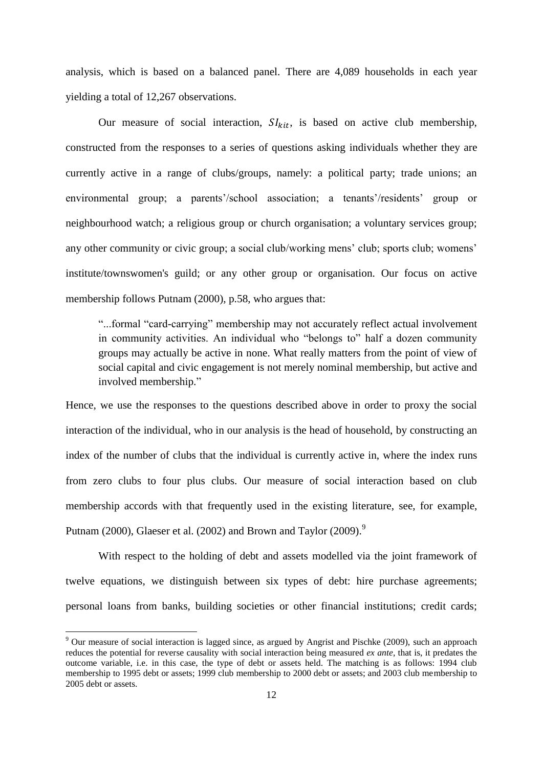analysis, which is based on a balanced panel. There are 4,089 households in each year yielding a total of 12,267 observations.

Our measure of social interaction,  $SI_{kit}$ , is based on active club membership, constructed from the responses to a series of questions asking individuals whether they are currently active in a range of clubs/groups, namely: a political party; trade unions; an environmental group; a parents'/school association; a tenants'/residents' group or neighbourhood watch; a religious group or church organisation; a voluntary services group; any other community or civic group; a social club/working mens' club; sports club; womens' institute/townswomen's guild; or any other group or organisation. Our focus on active membership follows Putnam (2000), p.58, who argues that:

"...formal "card-carrying" membership may not accurately reflect actual involvement in community activities. An individual who "belongs to" half a dozen community groups may actually be active in none. What really matters from the point of view of social capital and civic engagement is not merely nominal membership, but active and involved membership."

Hence, we use the responses to the questions described above in order to proxy the social interaction of the individual, who in our analysis is the head of household, by constructing an index of the number of clubs that the individual is currently active in, where the index runs from zero clubs to four plus clubs. Our measure of social interaction based on club membership accords with that frequently used in the existing literature, see, for example, Putnam (2000), Glaeser et al. (2002) and Brown and Taylor (2009).<sup>9</sup>

With respect to the holding of debt and assets modelled via the joint framework of twelve equations, we distinguish between six types of debt: hire purchase agreements; personal loans from banks, building societies or other financial institutions; credit cards;

1

<sup>&</sup>lt;sup>9</sup> Our measure of social interaction is lagged since, as argued by Angrist and Pischke (2009), such an approach reduces the potential for reverse causality with social interaction being measured *ex ante*, that is, it predates the outcome variable, i.e. in this case, the type of debt or assets held. The matching is as follows: 1994 club membership to 1995 debt or assets; 1999 club membership to 2000 debt or assets; and 2003 club membership to 2005 debt or assets.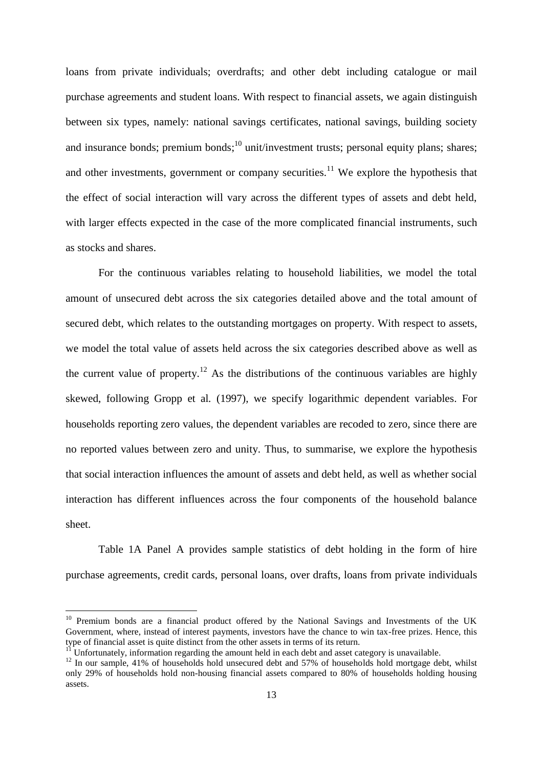loans from private individuals; overdrafts; and other debt including catalogue or mail purchase agreements and student loans. With respect to financial assets, we again distinguish between six types, namely: national savings certificates, national savings, building society and insurance bonds; premium bonds;  $10$  unit/investment trusts; personal equity plans; shares; and other investments, government or company securities.<sup>11</sup> We explore the hypothesis that the effect of social interaction will vary across the different types of assets and debt held, with larger effects expected in the case of the more complicated financial instruments, such as stocks and shares.

For the continuous variables relating to household liabilities, we model the total amount of unsecured debt across the six categories detailed above and the total amount of secured debt, which relates to the outstanding mortgages on property. With respect to assets, we model the total value of assets held across the six categories described above as well as the current value of property.<sup>12</sup> As the distributions of the continuous variables are highly skewed, following Gropp et al*.* (1997), we specify logarithmic dependent variables. For households reporting zero values, the dependent variables are recoded to zero, since there are no reported values between zero and unity. Thus, to summarise, we explore the hypothesis that social interaction influences the amount of assets and debt held, as well as whether social interaction has different influences across the four components of the household balance sheet.

Table 1A Panel A provides sample statistics of debt holding in the form of hire purchase agreements, credit cards, personal loans, over drafts, loans from private individuals

**.** 

<sup>&</sup>lt;sup>10</sup> Premium bonds are a financial product offered by the National Savings and Investments of the UK Government, where, instead of interest payments, investors have the chance to win tax-free prizes. Hence, this type of financial asset is quite distinct from the other assets in terms of its return.

Unfortunately, information regarding the amount held in each debt and asset category is unavailable.

<sup>&</sup>lt;sup>12</sup> In our sample, 41% of households hold unsecured debt and 57% of households hold mortgage debt, whilst only 29% of households hold non-housing financial assets compared to 80% of households holding housing assets.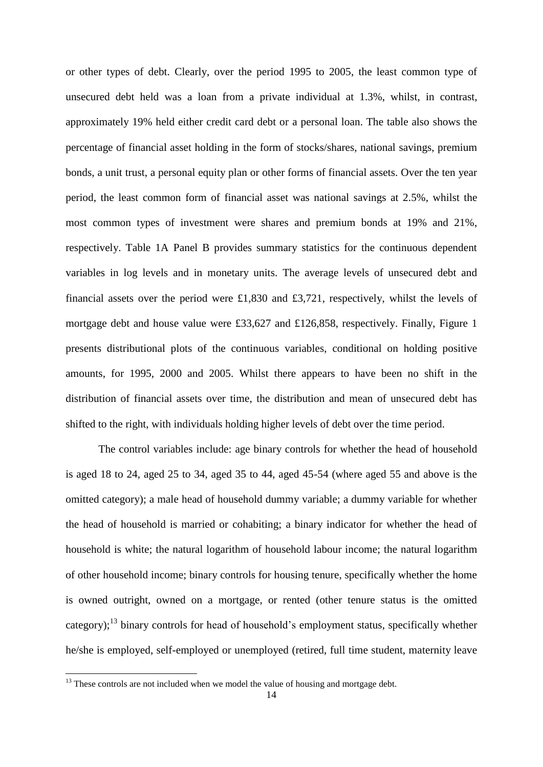or other types of debt. Clearly, over the period 1995 to 2005, the least common type of unsecured debt held was a loan from a private individual at 1.3%, whilst, in contrast, approximately 19% held either credit card debt or a personal loan. The table also shows the percentage of financial asset holding in the form of stocks/shares, national savings, premium bonds, a unit trust, a personal equity plan or other forms of financial assets. Over the ten year period, the least common form of financial asset was national savings at 2.5%, whilst the most common types of investment were shares and premium bonds at 19% and 21%, respectively. Table 1A Panel B provides summary statistics for the continuous dependent variables in log levels and in monetary units. The average levels of unsecured debt and financial assets over the period were £1,830 and £3,721, respectively, whilst the levels of mortgage debt and house value were £33,627 and £126,858, respectively. Finally, Figure 1 presents distributional plots of the continuous variables, conditional on holding positive amounts, for 1995, 2000 and 2005. Whilst there appears to have been no shift in the distribution of financial assets over time, the distribution and mean of unsecured debt has shifted to the right, with individuals holding higher levels of debt over the time period.

The control variables include: age binary controls for whether the head of household is aged 18 to 24, aged 25 to 34, aged 35 to 44, aged 45-54 (where aged 55 and above is the omitted category); a male head of household dummy variable; a dummy variable for whether the head of household is married or cohabiting; a binary indicator for whether the head of household is white; the natural logarithm of household labour income; the natural logarithm of other household income; binary controls for housing tenure, specifically whether the home is owned outright, owned on a mortgage, or rented (other tenure status is the omitted category); $^{13}$  binary controls for head of household's employment status, specifically whether he/she is employed, self-employed or unemployed (retired, full time student, maternity leave

**.** 

 $13$  These controls are not included when we model the value of housing and mortgage debt.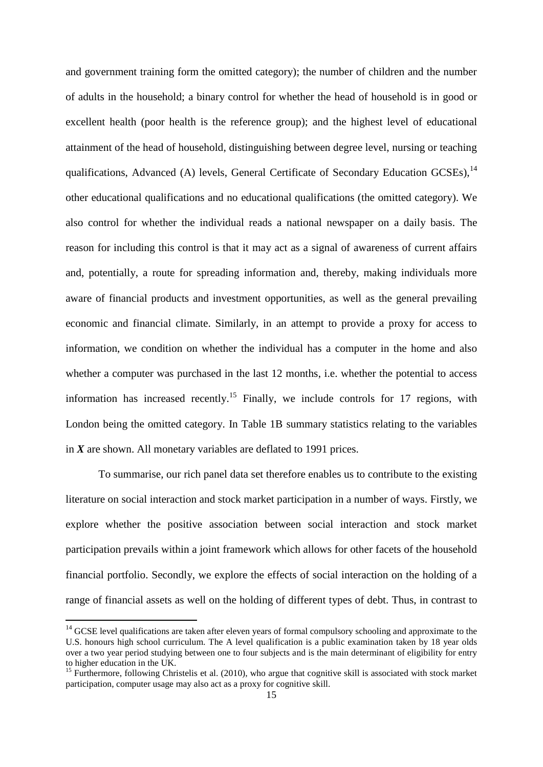and government training form the omitted category); the number of children and the number of adults in the household; a binary control for whether the head of household is in good or excellent health (poor health is the reference group); and the highest level of educational attainment of the head of household, distinguishing between degree level, nursing or teaching qualifications, Advanced (A) levels, General Certificate of Secondary Education GCSEs),<sup>14</sup> other educational qualifications and no educational qualifications (the omitted category). We also control for whether the individual reads a national newspaper on a daily basis. The reason for including this control is that it may act as a signal of awareness of current affairs and, potentially, a route for spreading information and, thereby, making individuals more aware of financial products and investment opportunities, as well as the general prevailing economic and financial climate. Similarly, in an attempt to provide a proxy for access to information, we condition on whether the individual has a computer in the home and also whether a computer was purchased in the last 12 months, i.e. whether the potential to access information has increased recently.<sup>15</sup> Finally, we include controls for 17 regions, with London being the omitted category. In Table 1B summary statistics relating to the variables in *X* are shown. All monetary variables are deflated to 1991 prices.

To summarise, our rich panel data set therefore enables us to contribute to the existing literature on social interaction and stock market participation in a number of ways. Firstly, we explore whether the positive association between social interaction and stock market participation prevails within a joint framework which allows for other facets of the household financial portfolio. Secondly, we explore the effects of social interaction on the holding of a range of financial assets as well on the holding of different types of debt. Thus, in contrast to

1

<sup>&</sup>lt;sup>14</sup> GCSE level qualifications are taken after eleven years of formal compulsory schooling and approximate to the U.S. honours high school curriculum. The A level qualification is a public examination taken by 18 year olds over a two year period studying between one to four subjects and is the main determinant of eligibility for entry to higher education in the UK.

<sup>&</sup>lt;sup>15</sup> Furthermore, following Christelis et al. (2010), who argue that cognitive skill is associated with stock market participation, computer usage may also act as a proxy for cognitive skill.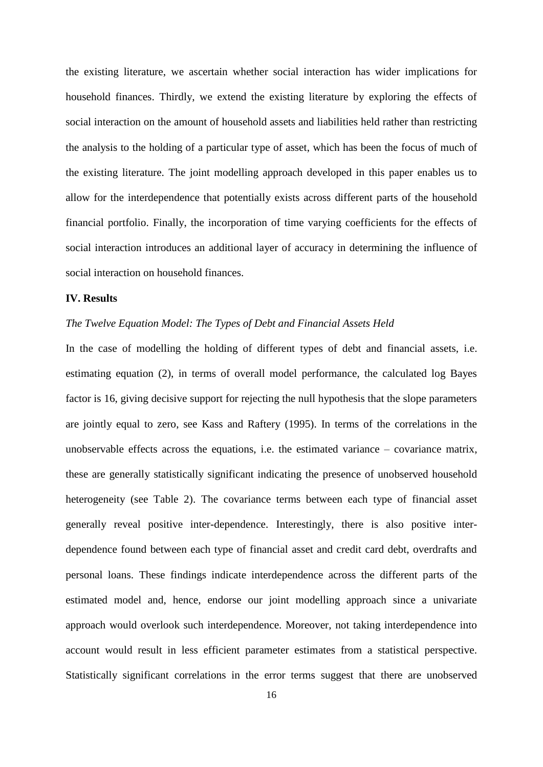the existing literature, we ascertain whether social interaction has wider implications for household finances. Thirdly, we extend the existing literature by exploring the effects of social interaction on the amount of household assets and liabilities held rather than restricting the analysis to the holding of a particular type of asset, which has been the focus of much of the existing literature. The joint modelling approach developed in this paper enables us to allow for the interdependence that potentially exists across different parts of the household financial portfolio. Finally, the incorporation of time varying coefficients for the effects of social interaction introduces an additional layer of accuracy in determining the influence of social interaction on household finances.

#### **IV. Results**

#### *The Twelve Equation Model: The Types of Debt and Financial Assets Held*

In the case of modelling the holding of different types of debt and financial assets, i.e. estimating equation (2), in terms of overall model performance, the calculated log Bayes factor is 16, giving decisive support for rejecting the null hypothesis that the slope parameters are jointly equal to zero, see Kass and Raftery (1995). In terms of the correlations in the unobservable effects across the equations, i.e. the estimated variance – covariance matrix, these are generally statistically significant indicating the presence of unobserved household heterogeneity (see Table 2). The covariance terms between each type of financial asset generally reveal positive inter-dependence. Interestingly, there is also positive interdependence found between each type of financial asset and credit card debt, overdrafts and personal loans. These findings indicate interdependence across the different parts of the estimated model and, hence, endorse our joint modelling approach since a univariate approach would overlook such interdependence. Moreover, not taking interdependence into account would result in less efficient parameter estimates from a statistical perspective. Statistically significant correlations in the error terms suggest that there are unobserved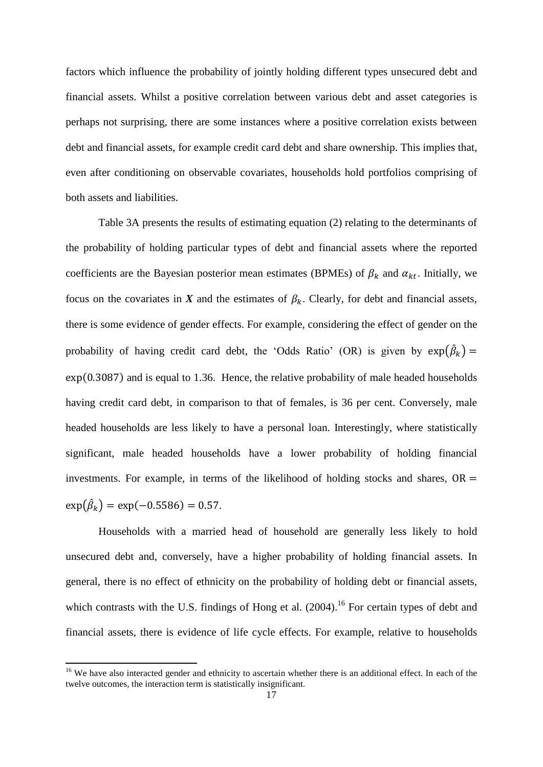factors which influence the probability of jointly holding different types unsecured debt and financial assets. Whilst a positive correlation between various debt and asset categories is perhaps not surprising, there are some instances where a positive correlation exists between debt and financial assets, for example credit card debt and share ownership. This implies that, even after conditioning on observable covariates, households hold portfolios comprising of both assets and liabilities.

Table 3A presents the results of estimating equation (2) relating to the determinants of the probability of holding particular types of debt and financial assets where the reported coefficients are the Bayesian posterior mean estimates (BPMEs) of  $\beta_k$  and  $\alpha_{kt}$ . Initially, we focus on the covariates in *X* and the estimates of  $\beta_k$ . Clearly, for debt and financial assets, there is some evidence of gender effects. For example, considering the effect of gender on the probability of having credit card debt, the 'Odds Ratio' (OR) is given by  $exp(\hat{\beta}_k)$  =  $\exp(0.3087)$  and is equal to 1.36. Hence, the relative probability of male headed households having credit card debt, in comparison to that of females, is 36 per cent. Conversely, male headed households are less likely to have a personal loan. Interestingly, where statistically significant, male headed households have a lower probability of holding financial investments. For example, in terms of the likelihood of holding stocks and shares,  $OR =$  $\exp(\hat{\beta}_k) = \exp(-0.5586) = 0.57.$ 

Households with a married head of household are generally less likely to hold unsecured debt and, conversely, have a higher probability of holding financial assets. In general, there is no effect of ethnicity on the probability of holding debt or financial assets, which contrasts with the U.S. findings of Hong et al. (2004).<sup>16</sup> For certain types of debt and financial assets, there is evidence of life cycle effects. For example, relative to households

**.** 

<sup>&</sup>lt;sup>16</sup> We have also interacted gender and ethnicity to ascertain whether there is an additional effect. In each of the twelve outcomes, the interaction term is statistically insignificant.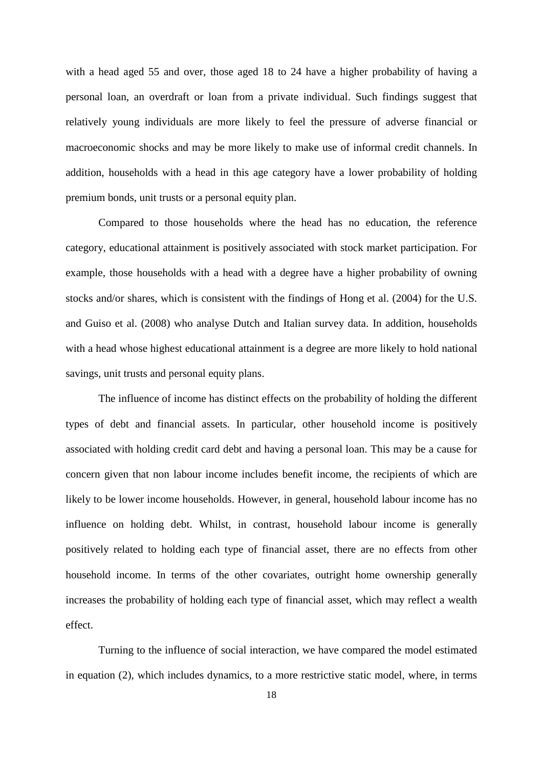with a head aged 55 and over, those aged 18 to 24 have a higher probability of having a personal loan, an overdraft or loan from a private individual. Such findings suggest that relatively young individuals are more likely to feel the pressure of adverse financial or macroeconomic shocks and may be more likely to make use of informal credit channels. In addition, households with a head in this age category have a lower probability of holding premium bonds, unit trusts or a personal equity plan.

Compared to those households where the head has no education, the reference category, educational attainment is positively associated with stock market participation. For example, those households with a head with a degree have a higher probability of owning stocks and/or shares, which is consistent with the findings of Hong et al. (2004) for the U.S. and Guiso et al. (2008) who analyse Dutch and Italian survey data. In addition, households with a head whose highest educational attainment is a degree are more likely to hold national savings, unit trusts and personal equity plans.

The influence of income has distinct effects on the probability of holding the different types of debt and financial assets. In particular, other household income is positively associated with holding credit card debt and having a personal loan. This may be a cause for concern given that non labour income includes benefit income, the recipients of which are likely to be lower income households. However, in general, household labour income has no influence on holding debt. Whilst, in contrast, household labour income is generally positively related to holding each type of financial asset, there are no effects from other household income. In terms of the other covariates, outright home ownership generally increases the probability of holding each type of financial asset, which may reflect a wealth effect.

Turning to the influence of social interaction, we have compared the model estimated in equation (2), which includes dynamics, to a more restrictive static model, where, in terms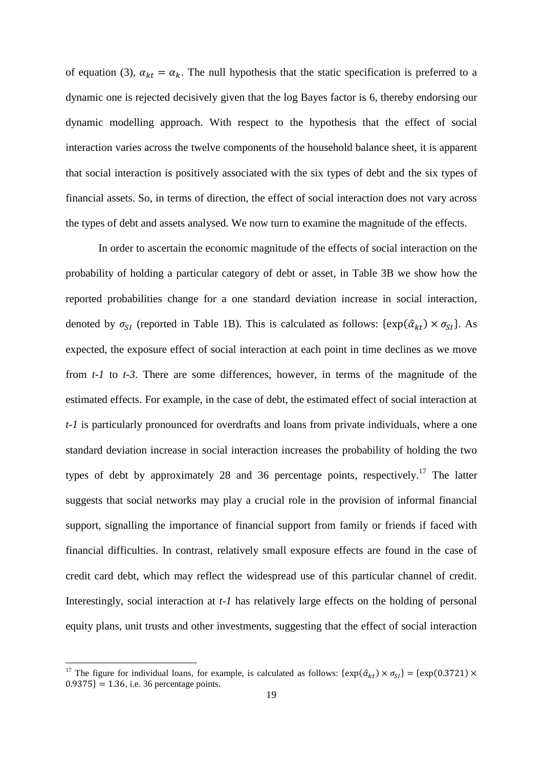of equation (3),  $\alpha_{kt} = \alpha_k$ . The null hypothesis that the static specification is preferred to a dynamic one is rejected decisively given that the log Bayes factor is 6, thereby endorsing our dynamic modelling approach. With respect to the hypothesis that the effect of social interaction varies across the twelve components of the household balance sheet, it is apparent that social interaction is positively associated with the six types of debt and the six types of financial assets. So, in terms of direction, the effect of social interaction does not vary across the types of debt and assets analysed. We now turn to examine the magnitude of the effects.

In order to ascertain the economic magnitude of the effects of social interaction on the probability of holding a particular category of debt or asset, in Table 3B we show how the reported probabilities change for a one standard deviation increase in social interaction, denoted by  $\sigma_{SI}$  (reported in Table 1B). This is calculated as follows: { $\exp(\hat{\alpha}_{kt}) \times \sigma_{SI}$ }. As expected, the exposure effect of social interaction at each point in time declines as we move from *t-1* to *t-3*. There are some differences, however, in terms of the magnitude of the estimated effects. For example, in the case of debt, the estimated effect of social interaction at *t-1* is particularly pronounced for overdrafts and loans from private individuals, where a one standard deviation increase in social interaction increases the probability of holding the two types of debt by approximately 28 and 36 percentage points, respectively.<sup>17</sup> The latter suggests that social networks may play a crucial role in the provision of informal financial support, signalling the importance of financial support from family or friends if faced with financial difficulties. In contrast, relatively small exposure effects are found in the case of credit card debt, which may reflect the widespread use of this particular channel of credit. Interestingly, social interaction at *t-1* has relatively large effects on the holding of personal equity plans, unit trusts and other investments, suggesting that the effect of social interaction

**.** 

<sup>&</sup>lt;sup>17</sup> The figure for individual loans, for example, is calculated as follows:  $\{\exp(\hat{a}_{kt}) \times \sigma_{SI}\} = \{\exp(0.3721) \times$  $0.9375$ } = 1.36, i.e. 36 percentage points.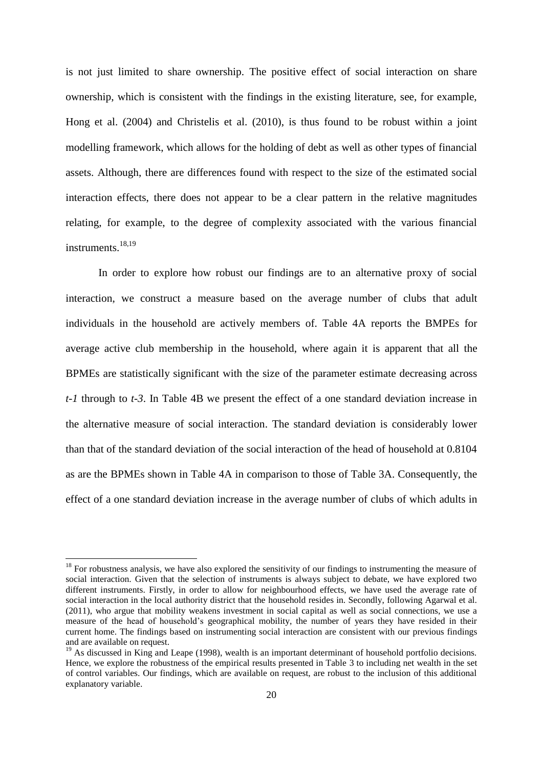is not just limited to share ownership. The positive effect of social interaction on share ownership, which is consistent with the findings in the existing literature, see, for example, Hong et al. (2004) and Christelis et al. (2010), is thus found to be robust within a joint modelling framework, which allows for the holding of debt as well as other types of financial assets. Although, there are differences found with respect to the size of the estimated social interaction effects, there does not appear to be a clear pattern in the relative magnitudes relating, for example, to the degree of complexity associated with the various financial instruments.<sup>18,19</sup>

In order to explore how robust our findings are to an alternative proxy of social interaction, we construct a measure based on the average number of clubs that adult individuals in the household are actively members of. Table 4A reports the BMPEs for average active club membership in the household, where again it is apparent that all the BPMEs are statistically significant with the size of the parameter estimate decreasing across *t-1* through to *t-3*. In Table 4B we present the effect of a one standard deviation increase in the alternative measure of social interaction. The standard deviation is considerably lower than that of the standard deviation of the social interaction of the head of household at 0.8104 as are the BPMEs shown in Table 4A in comparison to those of Table 3A. Consequently, the effect of a one standard deviation increase in the average number of clubs of which adults in

1

 $18$  For robustness analysis, we have also explored the sensitivity of our findings to instrumenting the measure of social interaction. Given that the selection of instruments is always subject to debate, we have explored two different instruments. Firstly, in order to allow for neighbourhood effects, we have used the average rate of social interaction in the local authority district that the household resides in. Secondly, following Agarwal et al. (2011), who argue that mobility weakens investment in social capital as well as social connections, we use a measure of the head of household's geographical mobility, the number of years they have resided in their current home. The findings based on instrumenting social interaction are consistent with our previous findings and are available on request.

<sup>&</sup>lt;sup>19</sup> As discussed in King and Leape (1998), wealth is an important determinant of household portfolio decisions. Hence, we explore the robustness of the empirical results presented in Table 3 to including net wealth in the set of control variables. Our findings, which are available on request, are robust to the inclusion of this additional explanatory variable.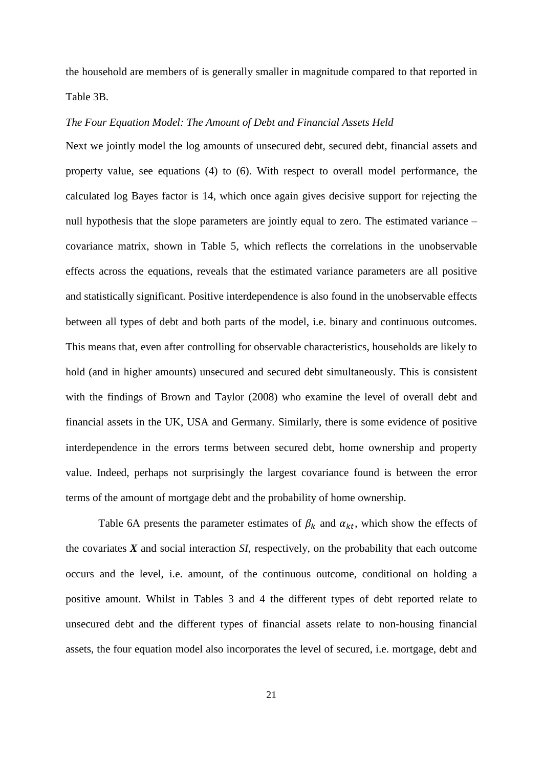the household are members of is generally smaller in magnitude compared to that reported in Table 3B.

#### *The Four Equation Model: The Amount of Debt and Financial Assets Held*

Next we jointly model the log amounts of unsecured debt, secured debt, financial assets and property value, see equations (4) to (6). With respect to overall model performance, the calculated log Bayes factor is 14, which once again gives decisive support for rejecting the null hypothesis that the slope parameters are jointly equal to zero. The estimated variance – covariance matrix, shown in Table 5, which reflects the correlations in the unobservable effects across the equations, reveals that the estimated variance parameters are all positive and statistically significant. Positive interdependence is also found in the unobservable effects between all types of debt and both parts of the model, i.e. binary and continuous outcomes. This means that, even after controlling for observable characteristics, households are likely to hold (and in higher amounts) unsecured and secured debt simultaneously. This is consistent with the findings of Brown and Taylor (2008) who examine the level of overall debt and financial assets in the UK, USA and Germany. Similarly, there is some evidence of positive interdependence in the errors terms between secured debt, home ownership and property value. Indeed, perhaps not surprisingly the largest covariance found is between the error terms of the amount of mortgage debt and the probability of home ownership.

Table 6A presents the parameter estimates of  $\beta_k$  and  $\alpha_{kt}$ , which show the effects of the covariates *X* and social interaction *SI*, respectively, on the probability that each outcome occurs and the level, i.e. amount, of the continuous outcome, conditional on holding a positive amount. Whilst in Tables 3 and 4 the different types of debt reported relate to unsecured debt and the different types of financial assets relate to non-housing financial assets, the four equation model also incorporates the level of secured, i.e. mortgage, debt and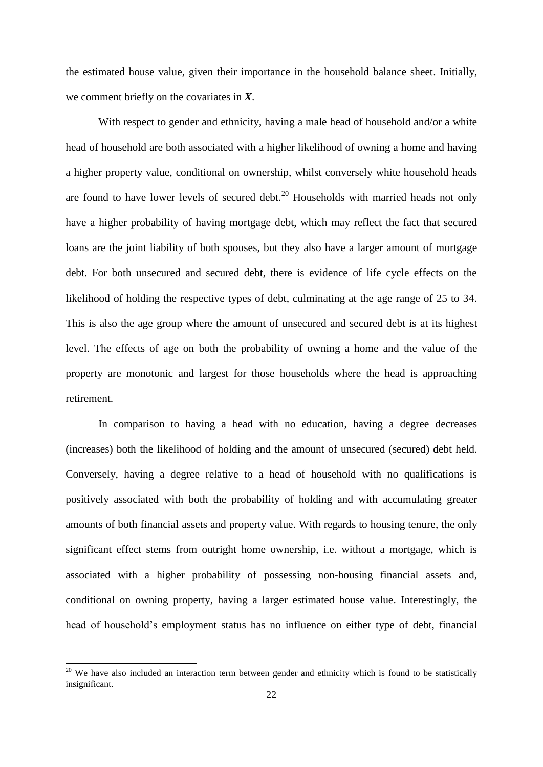the estimated house value, given their importance in the household balance sheet. Initially, we comment briefly on the covariates in *X*.

With respect to gender and ethnicity, having a male head of household and/or a white head of household are both associated with a higher likelihood of owning a home and having a higher property value, conditional on ownership, whilst conversely white household heads are found to have lower levels of secured debt.<sup>20</sup> Households with married heads not only have a higher probability of having mortgage debt, which may reflect the fact that secured loans are the joint liability of both spouses, but they also have a larger amount of mortgage debt. For both unsecured and secured debt, there is evidence of life cycle effects on the likelihood of holding the respective types of debt, culminating at the age range of 25 to 34. This is also the age group where the amount of unsecured and secured debt is at its highest level. The effects of age on both the probability of owning a home and the value of the property are monotonic and largest for those households where the head is approaching retirement.

In comparison to having a head with no education, having a degree decreases (increases) both the likelihood of holding and the amount of unsecured (secured) debt held. Conversely, having a degree relative to a head of household with no qualifications is positively associated with both the probability of holding and with accumulating greater amounts of both financial assets and property value. With regards to housing tenure, the only significant effect stems from outright home ownership, i.e. without a mortgage, which is associated with a higher probability of possessing non-housing financial assets and, conditional on owning property, having a larger estimated house value. Interestingly, the head of household's employment status has no influence on either type of debt, financial

**.** 

 $20$  We have also included an interaction term between gender and ethnicity which is found to be statistically insignificant.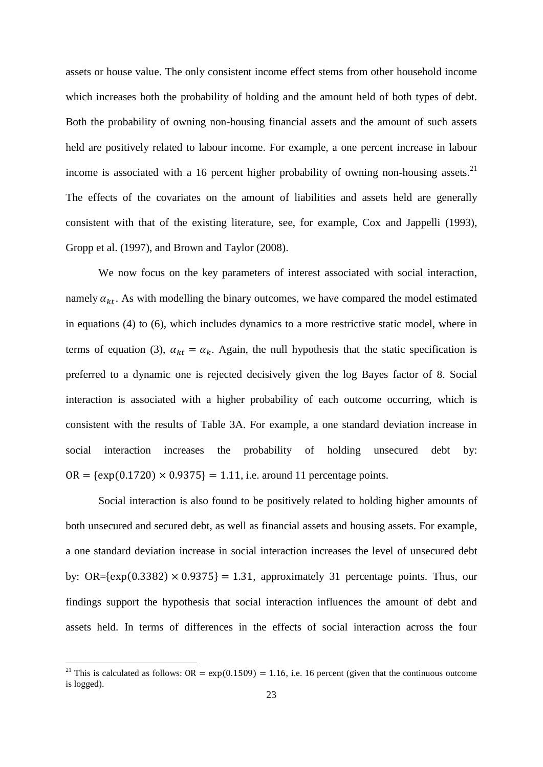assets or house value. The only consistent income effect stems from other household income which increases both the probability of holding and the amount held of both types of debt. Both the probability of owning non-housing financial assets and the amount of such assets held are positively related to labour income. For example, a one percent increase in labour income is associated with a 16 percent higher probability of owning non-housing assets.<sup>21</sup> The effects of the covariates on the amount of liabilities and assets held are generally consistent with that of the existing literature, see, for example, Cox and Jappelli (1993), Gropp et al. (1997), and Brown and Taylor (2008).

We now focus on the key parameters of interest associated with social interaction, namely  $\alpha_{kt}$ . As with modelling the binary outcomes, we have compared the model estimated in equations (4) to (6), which includes dynamics to a more restrictive static model, where in terms of equation (3),  $\alpha_{kt} = \alpha_k$ . Again, the null hypothesis that the static specification is preferred to a dynamic one is rejected decisively given the log Bayes factor of 8. Social interaction is associated with a higher probability of each outcome occurring, which is consistent with the results of Table 3A. For example, a one standard deviation increase in social interaction increases the probability of holding unsecured debt by:  $OR = \{ \exp(0.1720) \times 0.9375 \} = 1.11$ , i.e. around 11 percentage points.

Social interaction is also found to be positively related to holding higher amounts of both unsecured and secured debt, as well as financial assets and housing assets. For example, a one standard deviation increase in social interaction increases the level of unsecured debt by: OR= $\{\exp(0.3382) \times 0.9375\} = 1.31$ , approximately 31 percentage points. Thus, our findings support the hypothesis that social interaction influences the amount of debt and assets held. In terms of differences in the effects of social interaction across the four

 $\overline{a}$ 

<sup>&</sup>lt;sup>21</sup> This is calculated as follows:  $OR = \exp(0.1509) = 1.16$ , i.e. 16 percent (given that the continuous outcome is logged).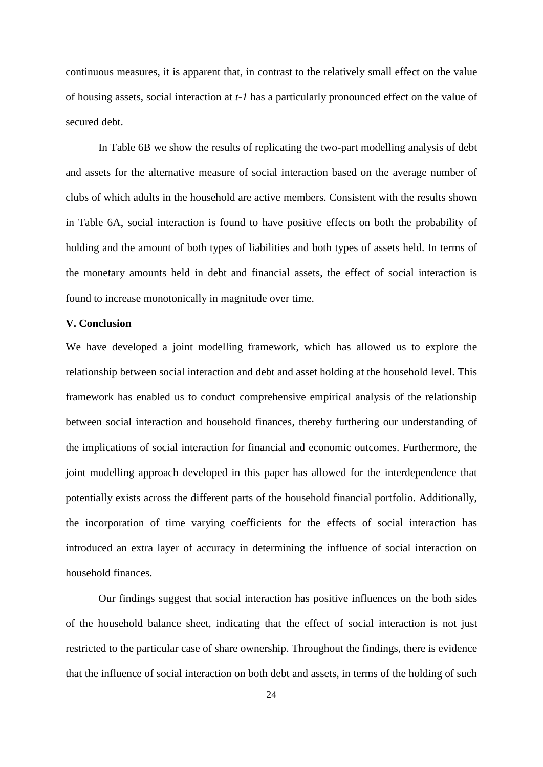continuous measures, it is apparent that, in contrast to the relatively small effect on the value of housing assets, social interaction at *t-1* has a particularly pronounced effect on the value of secured debt.

In Table 6B we show the results of replicating the two-part modelling analysis of debt and assets for the alternative measure of social interaction based on the average number of clubs of which adults in the household are active members. Consistent with the results shown in Table 6A, social interaction is found to have positive effects on both the probability of holding and the amount of both types of liabilities and both types of assets held. In terms of the monetary amounts held in debt and financial assets, the effect of social interaction is found to increase monotonically in magnitude over time.

#### **V. Conclusion**

We have developed a joint modelling framework, which has allowed us to explore the relationship between social interaction and debt and asset holding at the household level. This framework has enabled us to conduct comprehensive empirical analysis of the relationship between social interaction and household finances, thereby furthering our understanding of the implications of social interaction for financial and economic outcomes. Furthermore, the joint modelling approach developed in this paper has allowed for the interdependence that potentially exists across the different parts of the household financial portfolio. Additionally, the incorporation of time varying coefficients for the effects of social interaction has introduced an extra layer of accuracy in determining the influence of social interaction on household finances.

Our findings suggest that social interaction has positive influences on the both sides of the household balance sheet, indicating that the effect of social interaction is not just restricted to the particular case of share ownership. Throughout the findings, there is evidence that the influence of social interaction on both debt and assets, in terms of the holding of such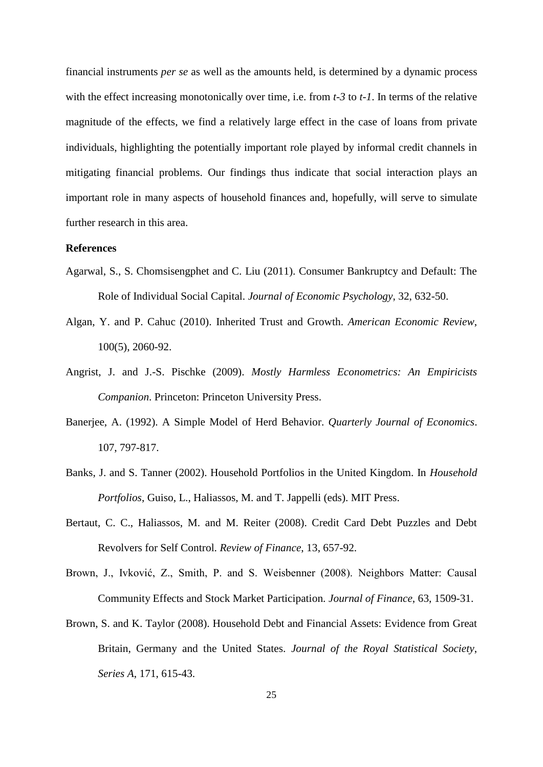financial instruments *per se* as well as the amounts held, is determined by a dynamic process with the effect increasing monotonically over time, i.e. from *t-3* to *t-1*. In terms of the relative magnitude of the effects, we find a relatively large effect in the case of loans from private individuals, highlighting the potentially important role played by informal credit channels in mitigating financial problems. Our findings thus indicate that social interaction plays an important role in many aspects of household finances and, hopefully, will serve to simulate further research in this area.

#### **References**

- Agarwal, S., S. Chomsisengphet and C. Liu (2011). Consumer Bankruptcy and Default: The Role of Individual Social Capital. *Journal of Economic Psychology*, 32, 632-50.
- Algan, Y. and P. Cahuc (2010). Inherited Trust and Growth. *American Economic Review*, 100(5), 2060-92.
- Angrist, J. and J.-S. Pischke (2009). *Mostly Harmless Econometrics: An Empiricists Companion*. Princeton: Princeton University Press.
- Banerjee, A. (1992). A Simple Model of Herd Behavior. *Quarterly Journal of Economics*. 107, 797-817.
- Banks, J. and S. Tanner (2002). Household Portfolios in the United Kingdom. In *Household Portfolios*, Guiso, L., Haliassos, M. and T. Jappelli (eds). MIT Press.
- Bertaut, C. C., Haliassos, M. and M. Reiter (2008). Credit Card Debt Puzzles and Debt Revolvers for Self Control. *Review of Finance*, 13, 657-92.
- Brown, J., Ivković, Z., Smith, P. and S. Weisbenner (2008). Neighbors Matter: Causal Community Effects and Stock Market Participation. *Journal of Finance*, 63, 1509-31.
- Brown, S. and K. Taylor (2008). Household Debt and Financial Assets: Evidence from Great Britain, Germany and the United States. *Journal of the Royal Statistical Society*, *Series A*, 171, 615-43.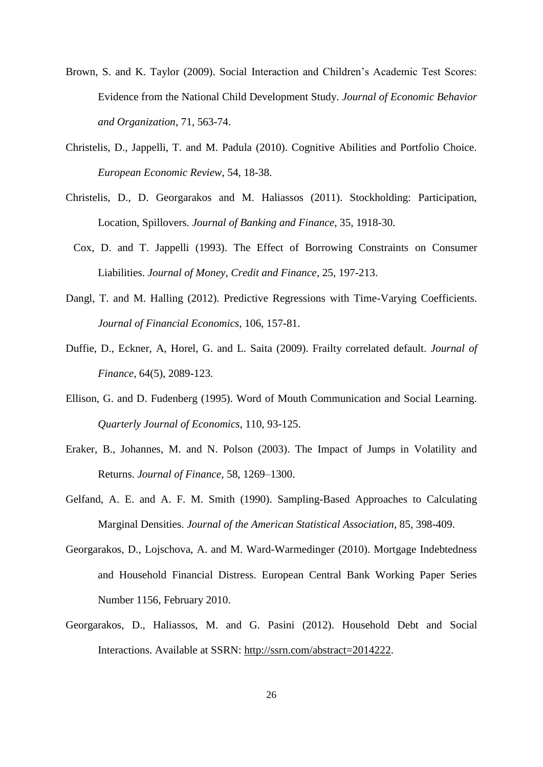- Brown, S. and K. Taylor (2009). Social Interaction and Children's Academic Test Scores: Evidence from the National Child Development Study. *Journal of Economic Behavior and Organization*, 71, 563-74.
- Christelis, D., Jappelli, T. and M. Padula (2010). Cognitive Abilities and Portfolio Choice. *European Economic Review*, 54, 18-38.
- Christelis, D., D. Georgarakos and M. Haliassos (2011). Stockholding: Participation, Location, Spillovers. *Journal of Banking and Finance*, 35, 1918-30.
- Cox, D. and T. Jappelli (1993). The Effect of Borrowing Constraints on Consumer Liabilities. *Journal of Money*, *Credit and Finance*, 25, 197-213.
- Dangl, T. and M. Halling (2012). Predictive Regressions with Time-Varying Coefficients. *Journal of Financial Economics*, 106, 157-81.
- Duffie, D., Eckner, A, Horel, G. and L. Saita (2009). Frailty correlated default. *Journal of Finance*, 64(5), 2089-123.
- Ellison, G. and D. Fudenberg (1995). Word of Mouth Communication and Social Learning. *Quarterly Journal of Economics*, 110, 93-125.
- Eraker, B., Johannes, M. and N. Polson (2003). The Impact of Jumps in Volatility and Returns. *Journal of Finance*, 58, 1269–1300.
- Gelfand, A. E. and A. F. M. Smith (1990). Sampling-Based Approaches to Calculating Marginal Densities. *Journal of the American Statistical Association*, 85, 398-409.
- Georgarakos, D., Lojschova, A. and M. Ward-Warmedinger (2010). Mortgage Indebtedness and Household Financial Distress. European Central Bank Working Paper Series Number 1156, February 2010.
- Georgarakos, D., Haliassos, M. and G. Pasini (2012). Household Debt and Social Interactions. Available at SSRN: [http://ssrn.com/abstract=2014222.](http://ssrn.com/abstract=2014222)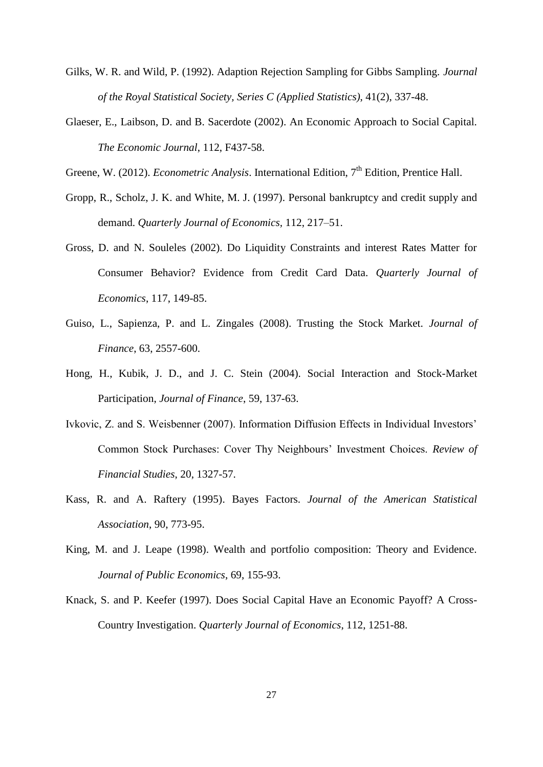- Gilks, W. R. and Wild, P. (1992). Adaption Rejection Sampling for Gibbs Sampling. *Journal of the Royal Statistical Society, Series C (Applied Statistics)*, 41(2), 337-48.
- Glaeser, E., Laibson, D. and B. Sacerdote (2002). An Economic Approach to Social Capital. *The Economic Journal*, 112, F437-58.
- Greene, W. (2012). *Econometric Analysis*. International Edition, 7<sup>th</sup> Edition, Prentice Hall.
- Gropp, R., Scholz, J. K. and White, M. J. (1997). Personal bankruptcy and credit supply and demand. *Quarterly Journal of Economics,* 112, 217–51.
- Gross, D. and N. Souleles (2002). Do Liquidity Constraints and interest Rates Matter for Consumer Behavior? Evidence from Credit Card Data. *Quarterly Journal of Economics*, 117, 149-85.
- Guiso, L., Sapienza, P. and L. Zingales (2008). Trusting the Stock Market. *Journal of Finance*, 63, 2557-600.
- Hong, H., Kubik, J. D., and J. C. Stein (2004). Social Interaction and Stock-Market Participation, *Journal of Finance*, 59, 137-63.
- Ivkovic, Z. and S. Weisbenner (2007). Information Diffusion Effects in Individual Investors' Common Stock Purchases: Cover Thy Neighbours' Investment Choices. *Review of Financial Studies*, 20, 1327-57.
- Kass, R. and A. Raftery (1995). Bayes Factors. *Journal of the American Statistical Association*, 90, 773-95.
- King, M. and J. Leape (1998). Wealth and portfolio composition: Theory and Evidence. *Journal of Public Economics*, 69, 155-93.
- Knack, S. and P. Keefer (1997). Does Social Capital Have an Economic Payoff? A Cross-Country Investigation. *Quarterly Journal of Economics*, 112, 1251-88.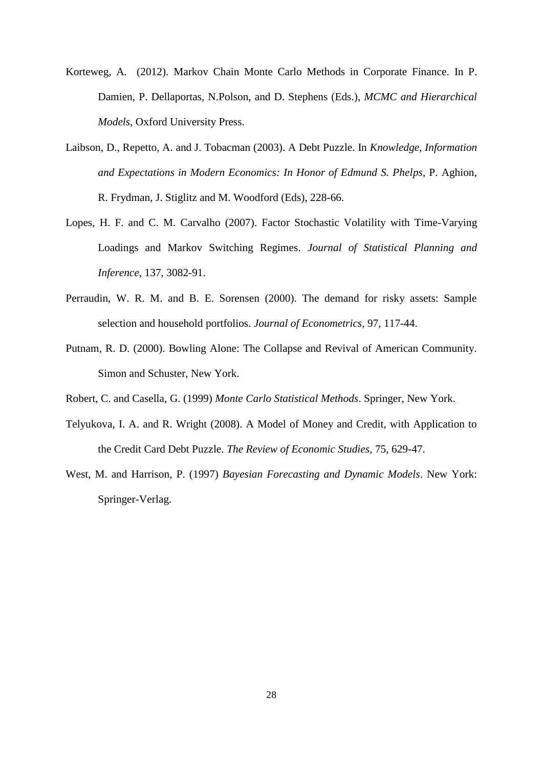- Korteweg, A. (2012). Markov Chain Monte Carlo Methods in Corporate Finance. In P. Damien, P. Dellaportas, N.Polson, and D. Stephens (Eds.), *MCMC and Hierarchical Models*, Oxford University Press.
- Laibson, D., Repetto, A. and J. Tobacman (2003). A Debt Puzzle. In *Knowledge, Information and Expectations in Modern Economics: In Honor of Edmund S. Phelps*, P. Aghion, R. Frydman, J. Stiglitz and M. Woodford (Eds), 228-66.
- Lopes, H. F. and C. M. Carvalho (2007). Factor Stochastic Volatility with Time-Varying Loadings and Markov Switching Regimes. *Journal of Statistical Planning and Inference*, 137, 3082-91.
- Perraudin, W. R. M. and B. E. Sorensen (2000). The demand for risky assets: Sample selection and household portfolios. *Journal of Econometrics*, 97, 117-44.
- Putnam, R. D. (2000). Bowling Alone: The Collapse and Revival of American Community. Simon and Schuster, New York.
- Robert, C. and Casella, G. (1999) *Monte Carlo Statistical Methods*. Springer, New York.
- Telyukova, I. A. and R. Wright (2008). A Model of Money and Credit, with Application to the Credit Card Debt Puzzle. *The Review of Economic Studies*, 75, 629-47.
- West, M. and Harrison, P. (1997) *Bayesian Forecasting and Dynamic Models*. New York: Springer-Verlag.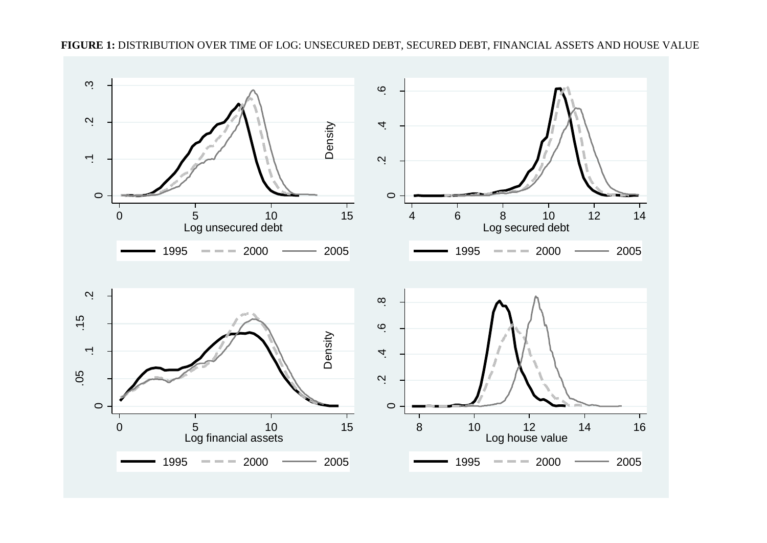

**FIGURE 1:** DISTRIBUTION OVER TIME OF LOG: UNSECURED DEBT, SECURED DEBT, FINANCIAL ASSETS AND HOUSE VALUE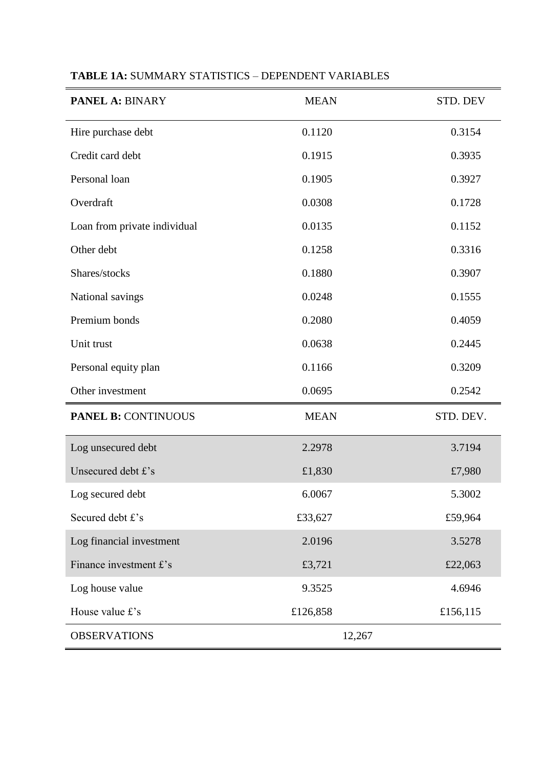| <b>PANEL A: BINARY</b>       | <b>MEAN</b> | STD. DEV  |
|------------------------------|-------------|-----------|
| Hire purchase debt           | 0.1120      | 0.3154    |
| Credit card debt             | 0.1915      | 0.3935    |
| Personal loan                | 0.1905      | 0.3927    |
| Overdraft                    | 0.0308      | 0.1728    |
| Loan from private individual | 0.0135      | 0.1152    |
| Other debt                   | 0.1258      | 0.3316    |
| Shares/stocks                | 0.1880      | 0.3907    |
| National savings             | 0.0248      | 0.1555    |
| Premium bonds                | 0.2080      | 0.4059    |
| Unit trust                   | 0.0638      | 0.2445    |
| Personal equity plan         | 0.1166      | 0.3209    |
| Other investment             | 0.0695      | 0.2542    |
| <b>PANEL B: CONTINUOUS</b>   | <b>MEAN</b> | STD. DEV. |
| Log unsecured debt           | 2.2978      | 3.7194    |
| Unsecured debt £'s           | £1,830      | £7,980    |
| Log secured debt             | 6.0067      | 5.3002    |
| Secured debt £'s             | £33,627     | £59,964   |
| Log financial investment     | 2.0196      | 3.5278    |
| Finance investment £'s       | £3,721      | £22,063   |
| Log house value              | 9.3525      | 4.6946    |
| House value £'s              | £126,858    | £156,115  |
| <b>OBSERVATIONS</b>          | 12,267      |           |

#### **TABLE 1A:** SUMMARY STATISTICS – DEPENDENT VARIABLES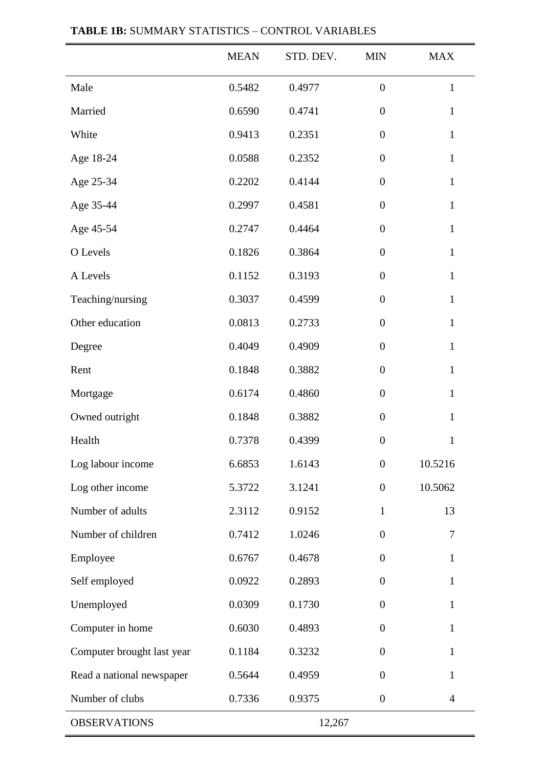|                            | <b>MEAN</b> | STD. DEV. | <b>MIN</b>       | <b>MAX</b>     |
|----------------------------|-------------|-----------|------------------|----------------|
| Male                       | 0.5482      | 0.4977    | $\overline{0}$   | $\mathbf{1}$   |
| Married                    | 0.6590      | 0.4741    | $\boldsymbol{0}$ | $\mathbf{1}$   |
| White                      | 0.9413      | 0.2351    | $\overline{0}$   | $\mathbf{1}$   |
| Age 18-24                  | 0.0588      | 0.2352    | $\boldsymbol{0}$ | $\mathbf{1}$   |
| Age 25-34                  | 0.2202      | 0.4144    | $\overline{0}$   | $\mathbf{1}$   |
| Age 35-44                  | 0.2997      | 0.4581    | $\boldsymbol{0}$ | $\mathbf{1}$   |
| Age 45-54                  | 0.2747      | 0.4464    | $\boldsymbol{0}$ | $\mathbf{1}$   |
| O Levels                   | 0.1826      | 0.3864    | $\boldsymbol{0}$ | $\mathbf{1}$   |
| A Levels                   | 0.1152      | 0.3193    | $\boldsymbol{0}$ | $\mathbf{1}$   |
| Teaching/nursing           | 0.3037      | 0.4599    | $\boldsymbol{0}$ | $\mathbf{1}$   |
| Other education            | 0.0813      | 0.2733    | $\boldsymbol{0}$ | $\mathbf{1}$   |
| Degree                     | 0.4049      | 0.4909    | $\boldsymbol{0}$ | $\mathbf{1}$   |
| Rent                       | 0.1848      | 0.3882    | $\boldsymbol{0}$ | $\mathbf{1}$   |
| Mortgage                   | 0.6174      | 0.4860    | $\boldsymbol{0}$ | $\mathbf{1}$   |
| Owned outright             | 0.1848      | 0.3882    | $\boldsymbol{0}$ | $\mathbf{1}$   |
| Health                     | 0.7378      | 0.4399    | $\boldsymbol{0}$ | $\mathbf{1}$   |
| Log labour income          | 6.6853      | 1.6143    | $\boldsymbol{0}$ | 10.5216        |
| Log other income           | 5.3722      | 3.1241    | $\boldsymbol{0}$ | 10.5062        |
| Number of adults           | 2.3112      | 0.9152    | $\mathbf{1}$     | 13             |
| Number of children         | 0.7412      | 1.0246    | $\overline{0}$   | 7              |
| Employee                   | 0.6767      | 0.4678    | $\boldsymbol{0}$ | $\mathbf{1}$   |
| Self employed              | 0.0922      | 0.2893    | $\boldsymbol{0}$ | $\mathbf{1}$   |
| Unemployed                 | 0.0309      | 0.1730    | $\boldsymbol{0}$ | $\mathbf{1}$   |
| Computer in home           | 0.6030      | 0.4893    | $\boldsymbol{0}$ | $\mathbf{1}$   |
| Computer brought last year | 0.1184      | 0.3232    | $\overline{0}$   | 1              |
| Read a national newspaper  | 0.5644      | 0.4959    | $\overline{0}$   | 1              |
| Number of clubs            | 0.7336      | 0.9375    | $\boldsymbol{0}$ | $\overline{4}$ |
| <b>OBSERVATIONS</b>        |             | 12,267    |                  |                |

### **TABLE 1B:** SUMMARY STATISTICS – CONTROL VARIABLES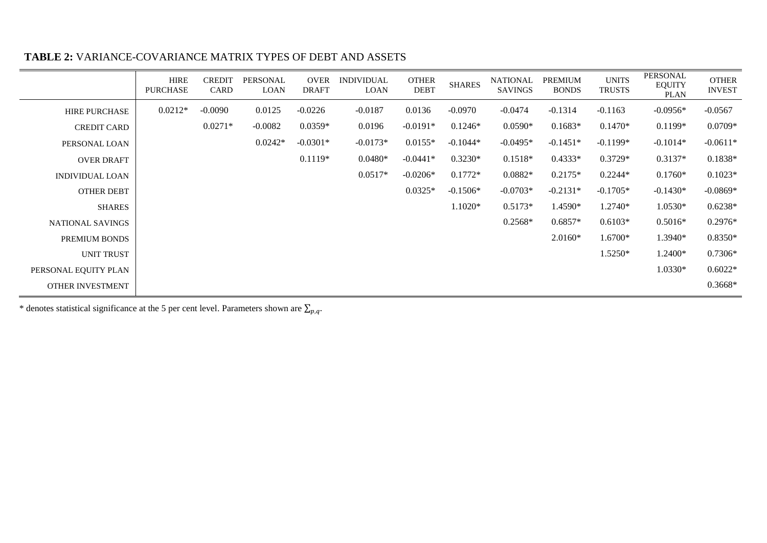|                        | <b>HIRE</b><br><b>PURCHASE</b> | <b>CREDIT</b><br>CARD | PERSONAL<br>LOAN | <b>OVER</b><br><b>DRAFT</b> | <b>INDIVIDUAL</b><br><b>LOAN</b> | <b>OTHER</b><br><b>DEBT</b> | <b>SHARES</b> | <b>NATIONAL</b><br><b>SAVINGS</b> | <b>PREMIUM</b><br><b>BONDS</b> | <b>UNITS</b><br><b>TRUSTS</b> | <b>PERSONAL</b><br><b>EQUITY</b><br>PLAN | <b>OTHER</b><br><b>INVEST</b> |
|------------------------|--------------------------------|-----------------------|------------------|-----------------------------|----------------------------------|-----------------------------|---------------|-----------------------------------|--------------------------------|-------------------------------|------------------------------------------|-------------------------------|
| <b>HIRE PURCHASE</b>   | $0.0212*$                      | $-0.0090$             | 0.0125           | $-0.0226$                   | $-0.0187$                        | 0.0136                      | $-0.0970$     | $-0.0474$                         | $-0.1314$                      | $-0.1163$                     | $-0.0956*$                               | $-0.0567$                     |
| <b>CREDIT CARD</b>     |                                | $0.0271*$             | $-0.0082$        | $0.0359*$                   | 0.0196                           | $-0.0191*$                  | $0.1246*$     | $0.0590*$                         | $0.1683*$                      | $0.1470*$                     | $0.1199*$                                | $0.0709*$                     |
| PERSONAL LOAN          |                                |                       | $0.0242*$        | $-0.0301*$                  | $-0.0173*$                       | $0.0155*$                   | $-0.1044*$    | $-0.0495*$                        | $-0.1451*$                     | $-0.1199*$                    | $-0.1014*$                               | $-0.0611*$                    |
| <b>OVER DRAFT</b>      |                                |                       |                  | $0.1119*$                   | $0.0480*$                        | $-0.0441*$                  | $0.3230*$     | $0.1518*$                         | $0.4333*$                      | $0.3729*$                     | $0.3137*$                                | $0.1838*$                     |
| <b>INDIVIDUAL LOAN</b> |                                |                       |                  |                             | $0.0517*$                        | $-0.0206*$                  | $0.1772*$     | $0.0882*$                         | $0.2175*$                      | $0.2244*$                     | $0.1760*$                                | $0.1023*$                     |
| <b>OTHER DEBT</b>      |                                |                       |                  |                             |                                  | $0.0325*$                   | $-0.1506*$    | $-0.0703*$                        | $-0.2131*$                     | $-0.1705*$                    | $-0.1430*$                               | $-0.0869*$                    |
| <b>SHARES</b>          |                                |                       |                  |                             |                                  |                             | $1.1020*$     | $0.5173*$                         | 1.4590*                        | 1.2740*                       | 1.0530*                                  | $0.6238*$                     |
| NATIONAL SAVINGS       |                                |                       |                  |                             |                                  |                             |               | $0.2568*$                         | $0.6857*$                      | $0.6103*$                     | $0.5016*$                                | $0.2976*$                     |
| PREMIUM BONDS          |                                |                       |                  |                             |                                  |                             |               |                                   | $2.0160*$                      | 1.6700*                       | 1.3940*                                  | $0.8350*$                     |
| UNIT TRUST             |                                |                       |                  |                             |                                  |                             |               |                                   |                                | 1.5250*                       | 1.2400*                                  | $0.7306*$                     |
| PERSONAL EQUITY PLAN   |                                |                       |                  |                             |                                  |                             |               |                                   |                                |                               | 1.0330*                                  | $0.6022*$                     |
| OTHER INVESTMENT       |                                |                       |                  |                             |                                  |                             |               |                                   |                                |                               |                                          | $0.3668*$                     |

#### **TABLE 2:** VARIANCE-COVARIANCE MATRIX TYPES OF DEBT AND ASSETS

\* denotes statistical significance at the 5 per cent level. Parameters shown are  $\Sigma_{p}$ ,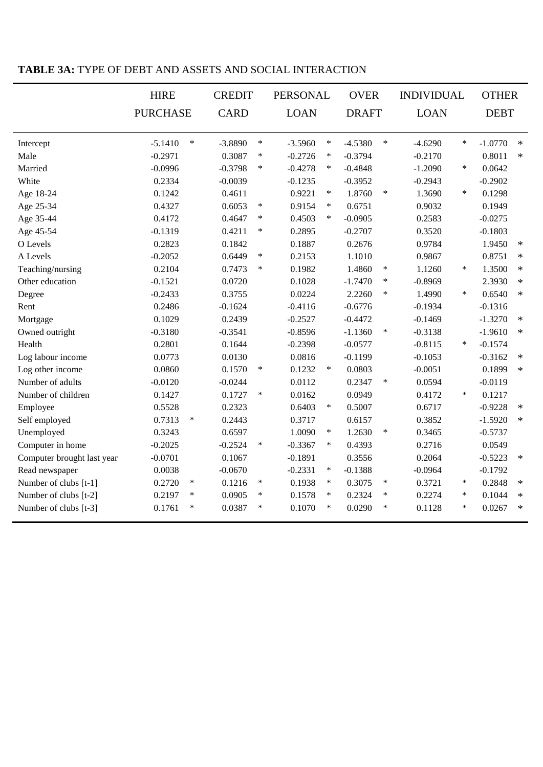|                            | <b>HIRE</b>     |        | <b>CREDIT</b> |        | <b>PERSONAL</b> |        | <b>OVER</b>  |        |             | <b>INDIVIDUAL</b> |             | <b>OTHER</b> |  |
|----------------------------|-----------------|--------|---------------|--------|-----------------|--------|--------------|--------|-------------|-------------------|-------------|--------------|--|
|                            | <b>PURCHASE</b> |        | <b>CARD</b>   |        | <b>LOAN</b>     |        | <b>DRAFT</b> |        | <b>LOAN</b> |                   | <b>DEBT</b> |              |  |
|                            |                 |        |               |        |                 |        |              |        |             |                   |             |              |  |
| Intercept                  | $-5.1410$       | $\ast$ | $-3.8890$     | $\ast$ | $-3.5960$       | $\ast$ | $-4.5380$    | $\ast$ | $-4.6290$   | $\ast$            | $-1.0770$   | $\ast$       |  |
| Male                       | $-0.2971$       |        | 0.3087        | $\ast$ | $-0.2726$       | $\ast$ | $-0.3794$    |        | $-0.2170$   |                   | 0.8011      | $\ast$       |  |
| Married                    | $-0.0996$       |        | $-0.3798$     | $\ast$ | $-0.4278$       | $\ast$ | $-0.4848$    |        | $-1.2090$   | $\ast$            | 0.0642      |              |  |
| White                      | 0.2334          |        | $-0.0039$     |        | $-0.1235$       |        | $-0.3952$    |        | $-0.2943$   |                   | $-0.2902$   |              |  |
| Age 18-24                  | 0.1242          |        | 0.4611        |        | 0.9221          | $\ast$ | 1.8760       | $\ast$ | 1.3690      | $\ast$            | 0.1298      |              |  |
| Age 25-34                  | 0.4327          |        | 0.6053        | $\ast$ | 0.9154          | $\ast$ | 0.6751       |        | 0.9032      |                   | 0.1949      |              |  |
| Age 35-44                  | 0.4172          |        | 0.4647        | $\ast$ | 0.4503          | $\ast$ | $-0.0905$    |        | 0.2583      |                   | $-0.0275$   |              |  |
| Age 45-54                  | $-0.1319$       |        | 0.4211        | $\ast$ | 0.2895          |        | $-0.2707$    |        | 0.3520      |                   | $-0.1803$   |              |  |
| O Levels                   | 0.2823          |        | 0.1842        |        | 0.1887          |        | 0.2676       |        | 0.9784      |                   | 1.9450      | $\ast$       |  |
| A Levels                   | $-0.2052$       |        | 0.6449        | $\ast$ | 0.2153          |        | 1.1010       |        | 0.9867      |                   | 0.8751      | $\ast$       |  |
| Teaching/nursing           | 0.2104          |        | 0.7473        | $\ast$ | 0.1982          |        | 1.4860       | $\ast$ | 1.1260      | $\ast$            | 1.3500      | $\ast$       |  |
| Other education            | $-0.1521$       |        | 0.0720        |        | 0.1028          |        | $-1.7470$    | $\ast$ | $-0.8969$   |                   | 2.3930      | $\ast$       |  |
| Degree                     | $-0.2433$       |        | 0.3755        |        | 0.0224          |        | 2.2260       | $\ast$ | 1.4990      | $\ast$            | 0.6540      | $\ast$       |  |
| Rent                       | 0.2486          |        | $-0.1624$     |        | $-0.4116$       |        | $-0.6776$    |        | $-0.1934$   |                   | $-0.1316$   |              |  |
| Mortgage                   | 0.1029          |        | 0.2439        |        | $-0.2527$       |        | $-0.4472$    |        | $-0.1469$   |                   | $-1.3270$   | $\ast$       |  |
| Owned outright             | $-0.3180$       |        | $-0.3541$     |        | $-0.8596$       |        | $-1.1360$    | $\ast$ | $-0.3138$   |                   | $-1.9610$   | $\ast$       |  |
| Health                     | 0.2801          |        | 0.1644        |        | $-0.2398$       |        | $-0.0577$    |        | $-0.8115$   | $\ast$            | $-0.1574$   |              |  |
| Log labour income          | 0.0773          |        | 0.0130        |        | 0.0816          |        | $-0.1199$    |        | $-0.1053$   |                   | $-0.3162$   | $\ast$       |  |
| Log other income           | 0.0860          |        | 0.1570        | $\ast$ | 0.1232          | $\ast$ | 0.0803       |        | $-0.0051$   |                   | 0.1899      | $\ast$       |  |
| Number of adults           | $-0.0120$       |        | $-0.0244$     |        | 0.0112          |        | 0.2347       | $\ast$ | 0.0594      |                   | $-0.0119$   |              |  |
| Number of children         | 0.1427          |        | 0.1727        | $\ast$ | 0.0162          |        | 0.0949       |        | 0.4172      | $\ast$            | 0.1217      |              |  |
| Employee                   | 0.5528          |        | 0.2323        |        | 0.6403          | $\ast$ | 0.5007       |        | 0.6717      |                   | $-0.9228$   | $\ast$       |  |
| Self employed              | 0.7313          | $\ast$ | 0.2443        |        | 0.3717          |        | 0.6157       |        | 0.3852      |                   | $-1.5920$   | $\ast$       |  |
| Unemployed                 | 0.3243          |        | 0.6597        |        | 1.0090          | $\ast$ | 1.2630       | $\ast$ | 0.3465      |                   | $-0.5737$   |              |  |
| Computer in home           | $-0.2025$       |        | $-0.2524$     | $\ast$ | $-0.3367$       | $\ast$ | 0.4393       |        | 0.2716      |                   | 0.0549      |              |  |
| Computer brought last year | $-0.0701$       |        | 0.1067        |        | $-0.1891$       |        | 0.3556       |        | 0.2064      |                   | $-0.5223$   | $\ast$       |  |
| Read newspaper             | 0.0038          |        | $-0.0670$     |        | $-0.2331$       | $\ast$ | $-0.1388$    |        | $-0.0964$   |                   | $-0.1792$   |              |  |
| Number of clubs [t-1]      | 0.2720          | $\ast$ | 0.1216        | $\ast$ | 0.1938          | $\ast$ | 0.3075       | ∗      | 0.3721      | $\ast$            | 0.2848      | $\ast$       |  |
| Number of clubs [t-2]      | 0.2197          | $\ast$ | 0.0905        | $\ast$ | 0.1578          | $\ast$ | 0.2324       | $\ast$ | 0.2274      | $\ast$            | 0.1044      | $\ast$       |  |
| Number of clubs [t-3]      | 0.1761          | $\ast$ | 0.0387        | $\ast$ | 0.1070          | $\ast$ | 0.0290       | $\ast$ | 0.1128      | $\ast$            | 0.0267      | $\ast$       |  |

#### **TABLE 3A:** TYPE OF DEBT AND ASSETS AND SOCIAL INTERACTION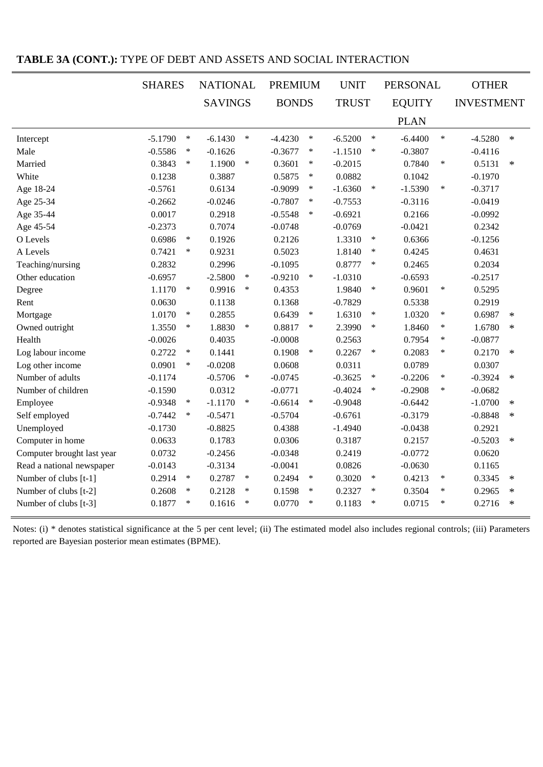|                            | <b>SHARES</b>       | <b>NATIONAL</b> |        | <b>PREMIUM</b> |        | <b>UNIT</b>  |        | <b>PERSONAL</b> |        | <b>OTHER</b>      |        |
|----------------------------|---------------------|-----------------|--------|----------------|--------|--------------|--------|-----------------|--------|-------------------|--------|
|                            |                     | <b>SAVINGS</b>  |        | <b>BONDS</b>   |        | <b>TRUST</b> |        | <b>EQUITY</b>   |        | <b>INVESTMENT</b> |        |
|                            |                     |                 |        |                |        |              |        | <b>PLAN</b>     |        |                   |        |
| Intercept                  | $-5.1790$<br>$\ast$ | $-6.1430$       | $\ast$ | $-4.4230$      | $\ast$ | $-6.5200$    | $\ast$ | $-6.4400$       | $\ast$ | $-4.5280$         | $\ast$ |
| Male                       | $-0.5586$<br>$\ast$ | $-0.1626$       |        | $-0.3677$      | $\ast$ | $-1.1510$    | $\ast$ | $-0.3807$       |        | $-0.4116$         |        |
| Married                    | 0.3843<br>$\ast$    | 1.1900          | $\ast$ | 0.3601         | $\ast$ | $-0.2015$    |        | 0.7840          | $\ast$ | 0.5131            | $\ast$ |
| White                      | 0.1238              | 0.3887          |        | 0.5875         | $\ast$ | 0.0882       |        | 0.1042          |        | $-0.1970$         |        |
| Age 18-24                  | $-0.5761$           | 0.6134          |        | $-0.9099$      | $\ast$ | $-1.6360$    | $\ast$ | $-1.5390$       | $\ast$ | $-0.3717$         |        |
| Age 25-34                  | $-0.2662$           | $-0.0246$       |        | $-0.7807$      | $\ast$ | $-0.7553$    |        | $-0.3116$       |        | $-0.0419$         |        |
| Age 35-44                  | 0.0017              | 0.2918          |        | $-0.5548$      | $\ast$ | $-0.6921$    |        | 0.2166          |        | $-0.0992$         |        |
| Age 45-54                  | $-0.2373$           | 0.7074          |        | $-0.0748$      |        | $-0.0769$    |        | $-0.0421$       |        | 0.2342            |        |
| O Levels                   | 0.6986<br>$\ast$    | 0.1926          |        | 0.2126         |        | 1.3310       | $\ast$ | 0.6366          |        | $-0.1256$         |        |
| A Levels                   | 0.7421<br>$\ast$    | 0.9231          |        | 0.5023         |        | 1.8140       | $\ast$ | 0.4245          |        | 0.4631            |        |
| Teaching/nursing           | 0.2832              | 0.2996          |        | $-0.1095$      |        | 0.8777       | $\ast$ | 0.2465          |        | 0.2034            |        |
| Other education            | $-0.6957$           | $-2.5800$       | $\ast$ | $-0.9210$      | $\ast$ | $-1.0310$    |        | $-0.6593$       |        | $-0.2517$         |        |
| Degree                     | 1.1170<br>$\ast$    | 0.9916          | $\ast$ | 0.4353         |        | 1.9840       | $\ast$ | 0.9601          | $\ast$ | 0.5295            |        |
| Rent                       | 0.0630              | 0.1138          |        | 0.1368         |        | $-0.7829$    |        | 0.5338          |        | 0.2919            |        |
| Mortgage                   | 1.0170<br>$\ast$    | 0.2855          |        | 0.6439         | $\ast$ | 1.6310       | $\ast$ | 1.0320          | $\ast$ | 0.6987            | $\ast$ |
| Owned outright             | 1.3550<br>$\ast$    | 1.8830          | $\ast$ | 0.8817         | $\ast$ | 2.3990       | $\ast$ | 1.8460          | $\ast$ | 1.6780            | $\ast$ |
| Health                     | $-0.0026$           | 0.4035          |        | $-0.0008$      |        | 0.2563       |        | 0.7954          | $\ast$ | $-0.0877$         |        |
| Log labour income          | 0.2722<br>$\ast$    | 0.1441          |        | 0.1908         | $\ast$ | 0.2267       | $\ast$ | 0.2083          | $\ast$ | 0.2170            | $\ast$ |
| Log other income           | 0.0901<br>$\ast$    | $-0.0208$       |        | 0.0608         |        | 0.0311       |        | 0.0789          |        | 0.0307            |        |
| Number of adults           | $-0.1174$           | $-0.5706$       | $\ast$ | $-0.0745$      |        | $-0.3625$    | $\ast$ | $-0.2206$       | $\ast$ | $-0.3924$         | $\ast$ |
| Number of children         | $-0.1590$           | 0.0312          |        | $-0.0771$      |        | $-0.4024$    | $\ast$ | $-0.2908$       | $\ast$ | $-0.0682$         |        |
| Employee                   | $-0.9348$<br>$\ast$ | $-1.1170$       | $\ast$ | $-0.6614$      | $\ast$ | $-0.9048$    |        | $-0.6442$       |        | $-1.0700$         | $\ast$ |
| Self employed              | $-0.7442$<br>$\ast$ | $-0.5471$       |        | $-0.5704$      |        | $-0.6761$    |        | $-0.3179$       |        | $-0.8848$         | $\ast$ |
| Unemployed                 | $-0.1730$           | $-0.8825$       |        | 0.4388         |        | $-1.4940$    |        | $-0.0438$       |        | 0.2921            |        |
| Computer in home           | 0.0633              | 0.1783          |        | 0.0306         |        | 0.3187       |        | 0.2157          |        | $-0.5203$         | $\ast$ |
| Computer brought last year | 0.0732              | $-0.2456$       |        | $-0.0348$      |        | 0.2419       |        | $-0.0772$       |        | 0.0620            |        |
| Read a national newspaper  | $-0.0143$           | $-0.3134$       |        | $-0.0041$      |        | 0.0826       |        | $-0.0630$       |        | 0.1165            |        |
| Number of clubs [t-1]      | 0.2914<br>$\ast$    | 0.2787          | $\ast$ | 0.2494         | $\ast$ | 0.3020       | $\ast$ | 0.4213          | $\ast$ | 0.3345            | $\ast$ |
| Number of clubs [t-2]      | 0.2608<br>$\ast$    | 0.2128          | $\ast$ | 0.1598         | $\ast$ | 0.2327       | $\ast$ | 0.3504          | $\ast$ | 0.2965            | $\ast$ |
| Number of clubs [t-3]      | 0.1877<br>$\ast$    | 0.1616          | $\ast$ | 0.0770         | ∗      | 0.1183       | $\ast$ | 0.0715          | $\ast$ | 0.2716            | $\ast$ |

### **TABLE 3A (CONT.):** TYPE OF DEBT AND ASSETS AND SOCIAL INTERACTION

Notes: (i) \* denotes statistical significance at the 5 per cent level; (ii) The estimated model also includes regional controls; (iii) Parameters reported are Bayesian posterior mean estimates (BPME).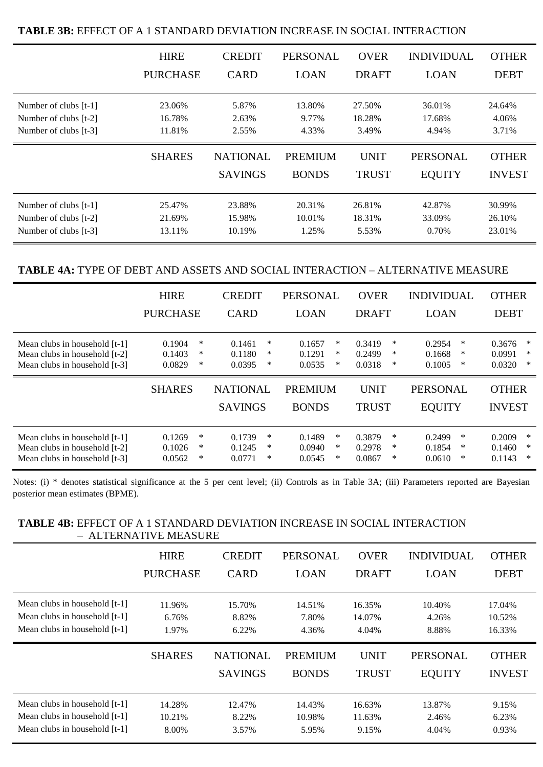|                         | <b>HIRE</b>     | <b>CREDIT</b>                     | <b>PERSONAL</b>         | <b>OVER</b>                 | <b>INDIVIDUAL</b>                | <b>OTHER</b>                  |
|-------------------------|-----------------|-----------------------------------|-------------------------|-----------------------------|----------------------------------|-------------------------------|
|                         | <b>PURCHASE</b> | <b>CARD</b>                       | <b>LOAN</b>             | <b>DRAFT</b>                | <b>LOAN</b>                      | <b>DEBT</b>                   |
| Number of clubs [t-1]   | 23.06%          | 5.87%                             | 13.80%                  | 27.50%                      | 36.01%                           | 24.64%                        |
| Number of clubs [t-2]   | 16.78%          | 2.63%                             | 9.77%                   | 18.28%                      | 17.68%                           | 4.06%                         |
| Number of clubs [t-3]   | 11.81%          | 2.55%                             | 4.33%                   | 3.49%                       | 4.94%                            | 3.71%                         |
|                         | <b>SHARES</b>   | <b>NATIONAL</b><br><b>SAVINGS</b> | PREMIUM<br><b>BONDS</b> | <b>UNIT</b><br><b>TRUST</b> | <b>PERSONAL</b><br><b>EQUITY</b> | <b>OTHER</b><br><b>INVEST</b> |
| Number of clubs $[t-1]$ | 25.47%          | 23.88%                            | 20.31%                  | 26.81%                      | 42.87%                           | 30.99%                        |
| Number of clubs [t-2]   | 21.69%          | 15.98%                            | 10.01%                  | 18.31%                      | 33.09%                           | 26.10%                        |
| Number of clubs [t-3]   | 13.11%          | 10.19%                            | 1.25%                   | 5.53%                       | 0.70%                            | 23.01%                        |

### **TABLE 3B:** EFFECT OF A 1 STANDARD DEVIATION INCREASE IN SOCIAL INTERACTION

#### **TABLE 4A:** TYPE OF DEBT AND ASSETS AND SOCIAL INTERACTION – ALTERNATIVE MEASURE

|                               | <b>HIRE</b>     | <b>CREDIT</b>   | <b>PERSONAL</b> | <b>OVER</b>  | <b>INDIVIDUAL</b> | <b>OTHER</b>  |
|-------------------------------|-----------------|-----------------|-----------------|--------------|-------------------|---------------|
|                               | <b>PURCHASE</b> | <b>CARD</b>     | <b>LOAN</b>     | <b>DRAFT</b> | <b>LOAN</b>       | <b>DEBT</b>   |
| Mean clubs in household [t-1] | ∗               | ∗               | $\ast$          | ∗            | ∗                 | 0.3676        |
|                               | 0.1904          | 0.1461          | 0.1657          | 0.3419       | 0.2954            | ∗             |
| Mean clubs in household [t-2] | 0.1403          | 0.1180          | ∗               | 0.2499       | ∗                 | 0.0991        |
|                               | ∗               | ∗               | 0.1291          | ∗            | 0.1668            | ∗             |
| Mean clubs in household [t-3] | ∗               | ∗               | ∗               | 0.0318       | ∗                 | 0.0320        |
|                               | 0.0829          | 0.0395          | 0.0535          | ∗            | 0.1005            | ∗             |
|                               | <b>SHARES</b>   | <b>NATIONAL</b> | <b>PREMIUM</b>  | <b>UNIT</b>  | <b>PERSONAL</b>   | <b>OTHER</b>  |
|                               |                 | <b>SAVINGS</b>  | <b>BONDS</b>    | <b>TRUST</b> | <b>EQUITY</b>     | <b>INVEST</b> |
| Mean clubs in household [t-1] | 0.1269          | 0.1739          | 0.1489          | 0.3879       | 0.2499            | 0.2009        |
|                               | ∗               | ∗               | ∗               | ∗            | ∗                 | $\ast$        |
| Mean clubs in household [t-2] | ∗               | ∗               | ∗               | 0.2978       | ∗                 | ∗             |
|                               | 0.1026          | 0.1245          | 0.0940          | ∗            | 0.1854            | 0.1460        |
| Mean clubs in household [t-3] | ∗               | ∗               | ∗               | ∗            | ∗                 | ∗             |
|                               | 0.0562          | 0.0771          | 0.0545          | 0.0867       | 0.0610            | 0.1143        |

Notes: (i) \* denotes statistical significance at the 5 per cent level; (ii) Controls as in Table 3A; (iii) Parameters reported are Bayesian posterior mean estimates (BPME).

#### **TABLE 4B:** EFFECT OF A 1 STANDARD DEVIATION INCREASE IN SOCIAL INTERACTION – ALTERNATIVE MEASURE

|                                                                                                 | <b>HIRE</b>               | <b>CREDIT</b>                     | <b>PERSONAL</b>           | <b>OVER</b>                 | <b>INDIVIDUAL</b>                | <b>OTHER</b>                  |
|-------------------------------------------------------------------------------------------------|---------------------------|-----------------------------------|---------------------------|-----------------------------|----------------------------------|-------------------------------|
|                                                                                                 | <b>PURCHASE</b>           | <b>CARD</b>                       | <b>LOAN</b>               | <b>DRAFT</b>                | <b>LOAN</b>                      | <b>DEBT</b>                   |
| Mean clubs in household [t-1]<br>Mean clubs in household [t-1]<br>Mean clubs in household [t-1] | 11.96%<br>6.76%<br>1.97%  | 15.70%<br>8.82%<br>6.22%          | 14.51%<br>7.80%<br>4.36%  | 16.35%<br>14.07%<br>4.04%   | 10.40%<br>4.26%<br>8.88%         | 17.04%<br>10.52%<br>16.33%    |
|                                                                                                 | <b>SHARES</b>             | <b>NATIONAL</b><br><b>SAVINGS</b> | PREMIUM<br><b>BONDS</b>   | <b>UNIT</b><br><b>TRUST</b> | <b>PERSONAL</b><br><b>EQUITY</b> | <b>OTHER</b><br><b>INVEST</b> |
| Mean clubs in household [t-1]<br>Mean clubs in household [t-1]<br>Mean clubs in household [t-1] | 14.28%<br>10.21%<br>8.00% | 12.47%<br>8.22%<br>3.57%          | 14.43%<br>10.98%<br>5.95% | 16.63%<br>11.63%<br>9.15%   | 13.87%<br>2.46%<br>4.04%         | 9.15%<br>6.23%<br>0.93%       |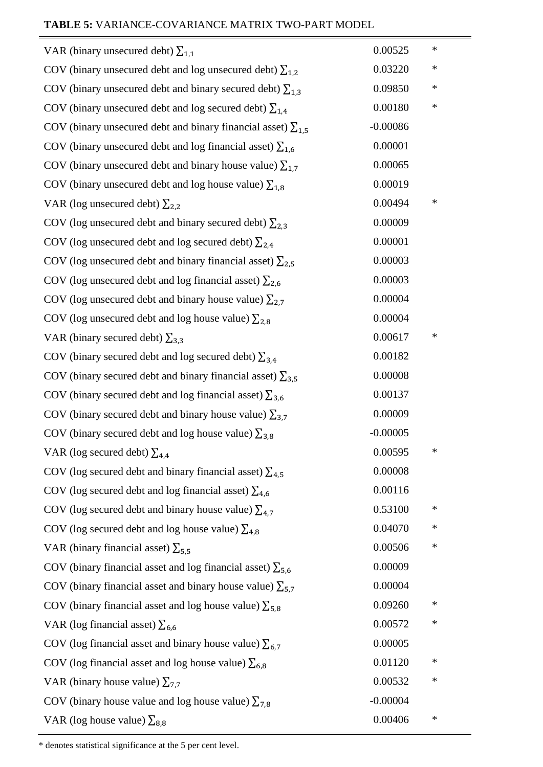| VAR (binary unsecured debt) $\Sigma_{1,1}$                            | 0.00525    | ∗      |
|-----------------------------------------------------------------------|------------|--------|
| COV (binary unsecured debt and log unsecured debt) $\sum_{1,2}$       | 0.03220    | ∗      |
| COV (binary unsecured debt and binary secured debt) $\sum_{1,3}$      | 0.09850    | ∗      |
| COV (binary unsecured debt and log secured debt) $\sum_{1,4}$         | 0.00180    | ∗      |
| COV (binary unsecured debt and binary financial asset) $\Sigma_{1,5}$ | $-0.00086$ |        |
| COV (binary unsecured debt and log financial asset) $\Sigma_{1,6}$    | 0.00001    |        |
| COV (binary unsecured debt and binary house value) $\Sigma_{1,7}$     | 0.00065    |        |
| COV (binary unsecured debt and log house value) $\Sigma_{1,8}$        | 0.00019    |        |
| VAR (log unsecured debt) $\Sigma_{2,2}$                               | 0.00494    | ∗      |
| COV (log unsecured debt and binary secured debt) $\Sigma_{2,3}$       | 0.00009    |        |
| COV (log unsecured debt and log secured debt) $\sum_{2,4}$            | 0.00001    |        |
| COV (log unsecured debt and binary financial asset) $\Sigma_{2,5}$    | 0.00003    |        |
| COV (log unsecured debt and log financial asset) $\Sigma_{2,6}$       | 0.00003    |        |
| COV (log unsecured debt and binary house value) $\Sigma_{2,7}$        | 0.00004    |        |
| COV (log unsecured debt and log house value) $\Sigma_{2,8}$           | 0.00004    |        |
| VAR (binary secured debt) $\Sigma_{3,3}$                              | 0.00617    | ∗      |
| COV (binary secured debt and log secured debt) $\sum_{3,4}$           | 0.00182    |        |
| COV (binary secured debt and binary financial asset) $\sum_{3,5}$     | 0.00008    |        |
| COV (binary secured debt and log financial asset) $\Sigma_{3,6}$      | 0.00137    |        |
| COV (binary secured debt and binary house value) $\sum_{3,7}$         | 0.00009    |        |
| COV (binary secured debt and log house value) $\Sigma_{3,8}$          | $-0.00005$ |        |
| VAR (log secured debt) $\Sigma_{4.4}$                                 | 0.00595    |        |
| COV (log secured debt and binary financial asset) $\sum_{4,5}$        | 0.00008    |        |
| COV (log secured debt and log financial asset) $\Sigma_{4,6}$         | 0.00116    |        |
| COV (log secured debt and binary house value) $\sum_{4,7}$            | 0.53100    | ∗      |
| COV (log secured debt and log house value) $\Sigma_{4,8}$             | 0.04070    | $\ast$ |
| VAR (binary financial asset) $\Sigma_{5,5}$                           | 0.00506    | ∗      |
| COV (binary financial asset and log financial asset) $\Sigma_{5,6}$   | 0.00009    |        |
| COV (binary financial asset and binary house value) $\sum_{5,7}$      | 0.00004    |        |
| COV (binary financial asset and log house value) $\Sigma_{5,8}$       | 0.09260    | $\ast$ |
| VAR (log financial asset) $\Sigma_{6,6}$                              | 0.00572    | ∗      |
| COV (log financial asset and binary house value) $\sum_{6,7}$         | 0.00005    |        |
| COV (log financial asset and log house value) $\Sigma_{6,8}$          | 0.01120    | ∗      |
| VAR (binary house value) $\Sigma_{7,7}$                               | 0.00532    | ∗      |
| COV (binary house value and log house value) $\Sigma_{7,8}$           | $-0.00004$ |        |
| VAR (log house value) $\Sigma_{8,8}$                                  | 0.00406    | ∗      |

\* denotes statistical significance at the 5 per cent level.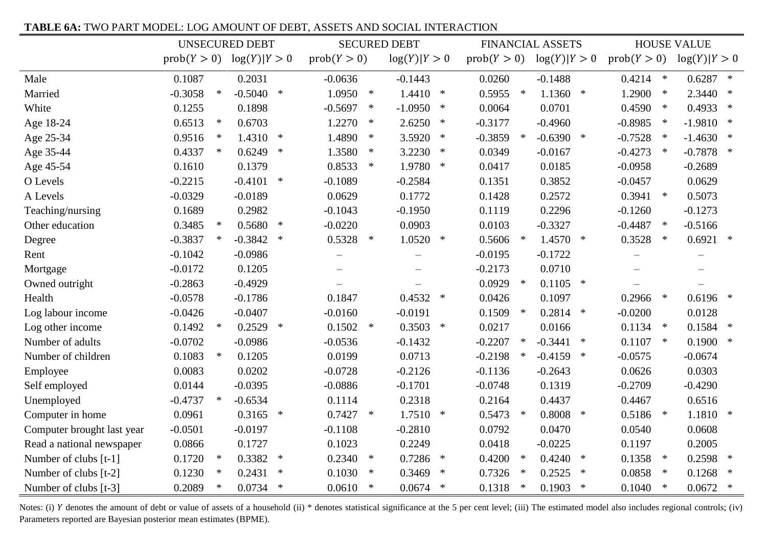#### **TABLE 6A:** TWO PART MODEL: LOG AMOUNT OF DEBT, ASSETS AND SOCIAL INTERACTION

|                            | <b>UNSECURED DEBT</b>        |            |        |                          | <b>SECURED DEBT</b> |                   |        |             | <b>FINANCIAL ASSETS</b> | <b>HOUSE VALUE</b>  |                     |             |
|----------------------------|------------------------------|------------|--------|--------------------------|---------------------|-------------------|--------|-------------|-------------------------|---------------------|---------------------|-------------|
|                            | $prob(Y > 0)$ $log(Y) Y > 0$ |            |        | prob(Y > 0)              |                     | log(Y) Y>0        |        | prob(Y > 0) |                         | log(Y) Y>0          | prob(Y > 0)         | log(Y) Y>0  |
| Male                       | 0.1087                       | 0.2031     |        | $-0.0636$                |                     | $-0.1443$         |        | 0.0260      |                         | $-0.1488$           | $0.4214$ *          | $0.6287$ *  |
| Married                    | $\ast$<br>$-0.3058$          | $-0.5040$  | $\ast$ | 1.0950                   | $\ast$              | 1.4410            | $\ast$ | 0.5955      | $\ast$                  | $1.1360$ *          | 1.2900<br>$\ast$    | $2.3440$ *  |
| White                      | 0.1255                       | 0.1898     |        | $-0.5697$                | $\ast$              | $-1.0950$         | $\ast$ | 0.0064      |                         | 0.0701              | 0.4590<br>$\ast$    | $0.4933$ *  |
| Age 18-24                  | 0.6513<br>$\ast$             | 0.6703     |        | 1.2270                   | $\ast$              | 2.6250            | $\ast$ | $-0.3177$   |                         | $-0.4960$           | $-0.8985$<br>$\ast$ | $-1.9810$ * |
| Age 25-34                  | 0.9516<br>$\ast$             | 1.4310     | $\ast$ | 1.4890                   | $\ast$              | 3.5920            | $\ast$ | $-0.3859$   | $\ast$                  | $-0.6390$ *         | $-0.7528$<br>$\ast$ | $-1.4630$ * |
| Age 35-44                  | 0.4337<br>$\ast$             | 0.6249     | $\ast$ | 1.3580                   | $\ast$              | 3.2230            | $\ast$ | 0.0349      |                         | $-0.0167$           | $-0.4273$<br>$\ast$ | $-0.7878$ * |
| Age 45-54                  | 0.1610                       | 0.1379     |        | 0.8533                   | $\ast$              | 1.9780            | $\ast$ | 0.0417      |                         | 0.0185              | $-0.0958$           | $-0.2689$   |
| O Levels                   | $-0.2215$                    | $-0.4101$  | $\ast$ | $-0.1089$                |                     | $-0.2584$         |        | 0.1351      |                         | 0.3852              | $-0.0457$           | 0.0629      |
| A Levels                   | $-0.0329$                    | $-0.0189$  |        | 0.0629                   |                     | 0.1772            |        | 0.1428      |                         | 0.2572              | 0.3941<br>$\ast$    | 0.5073      |
| Teaching/nursing           | 0.1689                       | 0.2982     |        | $-0.1043$                |                     | $-0.1950$         |        | 0.1119      |                         | 0.2296              | $-0.1260$           | $-0.1273$   |
| Other education            | 0.3485<br>$\ast$             | 0.5680     | $\ast$ | $-0.0220$                |                     | 0.0903            |        | 0.0103      |                         | $-0.3327$           | $-0.4487$<br>$\ast$ | $-0.5166$   |
| Degree                     | $-0.3837$                    | $-0.3842$  | $\ast$ | $0.5328$ *               |                     | $1.0520$ *        |        | 0.5606      | $\ast$                  | $1.4570$ *          | 0.3528<br>$\ast$    | $0.6921$ *  |
| Rent                       | $-0.1042$                    | $-0.0986$  |        | $\qquad \qquad -$        |                     | $\qquad \qquad -$ |        | $-0.0195$   |                         | $-0.1722$           |                     | $\equiv$    |
| Mortgage                   | $-0.0172$                    | 0.1205     |        | $\overline{\phantom{0}}$ |                     | $\qquad \qquad -$ |        | $-0.2173$   |                         | 0.0710              | $\equiv$            |             |
| Owned outright             | $-0.2863$                    | $-0.4929$  |        |                          |                     |                   |        | 0.0929      | $\ast$                  | $0.1105$ *          |                     |             |
| Health                     | $-0.0578$                    | $-0.1786$  |        | 0.1847                   |                     | $0.4532$ *        |        | 0.0426      |                         | 0.1097              | 0.2966<br>$\ast$    | $0.6196$ *  |
| Log labour income          | $-0.0426$                    | $-0.0407$  |        | $-0.0160$                |                     | $-0.0191$         |        | 0.1509      | $\ast$                  | 0.2814<br>$\ast$    | $-0.0200$           | 0.0128      |
| Log other income           | 0.1492<br>$\ast$             | $0.2529$ * |        | $0.1502$ *               |                     | $0.3503$ *        |        | 0.0217      |                         | 0.0166              | $0.1134$ *          | $0.1584$ *  |
| Number of adults           | $-0.0702$                    | $-0.0986$  |        | $-0.0536$                |                     | $-0.1432$         |        | $-0.2207$   | $\ast$                  | $-0.3441$<br>$\ast$ | 0.1107<br>$\ast$    | $0.1900$ *  |
| Number of children         | 0.1083<br>$\ast$             | 0.1205     |        | 0.0199                   |                     | 0.0713            |        | $-0.2198$   | $\ast$                  | $-0.4159$<br>$\ast$ | $-0.0575$           | $-0.0674$   |
| Employee                   | 0.0083                       | 0.0202     |        | $-0.0728$                |                     | $-0.2126$         |        | $-0.1136$   |                         | $-0.2643$           | 0.0626              | 0.0303      |
| Self employed              | 0.0144                       | $-0.0395$  |        | $-0.0886$                |                     | $-0.1701$         |        | $-0.0748$   |                         | 0.1319              | $-0.2709$           | $-0.4290$   |
| Unemployed                 | $-0.4737$<br>$\ast$          | $-0.6534$  |        | 0.1114                   |                     | 0.2318            |        | 0.2164      |                         | 0.4437              | 0.4467              | 0.6516      |
| Computer in home           | 0.0961                       | 0.3165     | $\ast$ | 0.7427                   | $\ast$              | $1.7510$ *        |        | 0.5473      | $\ast$                  | $0.8008$ *          | 0.5186<br>$\ast$    | $1.1810$ *  |
| Computer brought last year | $-0.0501$                    | $-0.0197$  |        | $-0.1108$                |                     | $-0.2810$         |        | 0.0792      |                         | 0.0470              | 0.0540              | 0.0608      |
| Read a national newspaper  | 0.0866                       | 0.1727     |        | 0.1023                   |                     | 0.2249            |        | 0.0418      |                         | $-0.0225$           | 0.1197              | 0.2005      |
| Number of clubs [t-1]      | 0.1720<br>$\ast$             | 0.3382     | $\ast$ | 0.2340                   | $\ast$              | $0.7286$ *        |        | 0.4200      | $\ast$                  | 0.4240<br>$*$       | 0.1358<br>$\ast$    | $0.2598$ *  |
| Number of clubs [t-2]      | $\ast$<br>0.1230             | 0.2431     | $\ast$ | 0.1030                   | $\ast$              | 0.3469            | $\ast$ | 0.7326      | $\ast$                  | 0.2525<br>$\ast$    | 0.0858<br>$\ast$    | $0.1268$ *  |
| Number of clubs [t-3]      | 0.2089<br>∗                  | $0.0734$ * |        | 0.0610                   | $\ast$              | $0.0674$ *        |        | 0.1318      | $\ast$                  | 0.1903<br>$\ast$    | 0.1040<br>$\ast$    | $0.0672$ *  |

Notes: (i) Y denotes the amount of debt or value of assets of a household (ii) \* denotes statistical significance at the 5 per cent level; (iii) The estimated model also includes regional controls; (iv) Parameters reported are Bayesian posterior mean estimates (BPME).